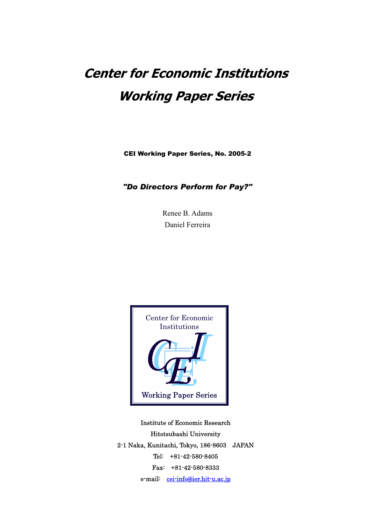# **Center for Economic Institutions Working Paper Series**

CEI Working Paper Series, No. 2005-2

*"Do Directors Perform for Pay?"* 

Renee B. Adams Daniel Ferreira



Institute of Economic Research Hitotsubashi University 2-1 Naka, Kunitachi, Tokyo, 186-8603 JAPAN Tel: +81-42-580-8405 Fax: +81-42-580-8333 e-mail: [cei-info@ier.hit-u.ac.jp](mailto:cei-info@ier.hit-u.ac.jp)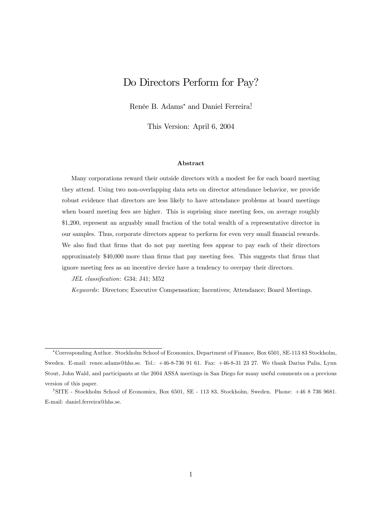# Do Directors Perform for Pay?

Renée B. Adams<sup>\*</sup> and Daniel Ferreira<sup>†</sup>

This Version: April 6, 2004

#### Abstract

Many corporations reward their outside directors with a modest fee for each board meeting they attend. Using two non-overlapping data sets on director attendance behavior, we provide robust evidence that directors are less likely to have attendance problems at board meetings when board meeting fees are higher. This is suprising since meeting fees, on average roughly \$1,200, represent an arguably small fraction of the total wealth of a representative director in our samples. Thus, corporate directors appear to perform for even very small financial rewards. We also find that firms that do not pay meeting fees appear to pay each of their directors approximately \$40,000 more than firms that pay meeting fees. This suggests that firms that ignore meeting fees as an incentive device have a tendency to overpay their directors.

JEL classification: G34; J41; M52

Keywords: Directors; Executive Compensation; Incentives; Attendance; Board Meetings.

<sup>∗</sup>Corresponding Author. Stockholm School of Economics, Department of Finance, Box 6501, SE-113 83 Stockholm, Sweden. E-mail: renee.adams@hhs.se. Tel.: +46-8-736 91 61. Fax: +46-8-31 23 27. We thank Darius Palia, Lynn Stout, John Wald, and participants at the 2004 ASSA meetings in San Diego for many useful comments on a previous version of this paper.

<sup>†</sup>SITE - Stockholm School of Economics, Box 6501, SE - 113 83, Stockholm, Sweden. Phone: +46 8 736 9681. E-mail: daniel.ferreira@hhs.se.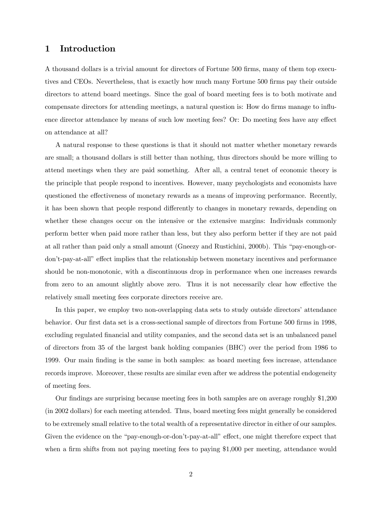# 1 Introduction

A thousand dollars is a trivial amount for directors of Fortune 500 firms, many of them top executives and CEOs. Nevertheless, that is exactly how much many Fortune 500 firms pay their outside directors to attend board meetings. Since the goal of board meeting fees is to both motivate and compensate directors for attending meetings, a natural question is: How do firms manage to influence director attendance by means of such low meeting fees? Or: Do meeting fees have any effect on attendance at all?

A natural response to these questions is that it should not matter whether monetary rewards are small; a thousand dollars is still better than nothing, thus directors should be more willing to attend meetings when they are paid something. After all, a central tenet of economic theory is the principle that people respond to incentives. However, many psychologists and economists have questioned the effectiveness of monetary rewards as a means of improving performance. Recently, it has been shown that people respond differently to changes in monetary rewards, depending on whether these changes occur on the intensive or the extensive margins: Individuals commonly perform better when paid more rather than less, but they also perform better if they are not paid at all rather than paid only a small amount (Gneezy and Rustichini, 2000b). This "pay-enough-ordon't-pay-at-all" effect implies that the relationship between monetary incentives and performance should be non-monotonic, with a discontinuous drop in performance when one increases rewards from zero to an amount slightly above zero. Thus it is not necessarily clear how effective the relatively small meeting fees corporate directors receive are.

In this paper, we employ two non-overlapping data sets to study outside directors' attendance behavior. Our first data set is a cross-sectional sample of directors from Fortune 500 firms in 1998, excluding regulated financial and utility companies, and the second data set is an unbalanced panel of directors from 35 of the largest bank holding companies (BHC) over the period from 1986 to 1999. Our main finding is the same in both samples: as board meeting fees increase, attendance records improve. Moreover, these results are similar even after we address the potential endogeneity of meeting fees.

Our findings are surprising because meeting fees in both samples are on average roughly \$1,200 (in 2002 dollars) for each meeting attended. Thus, board meeting fees might generally be considered to be extremely small relative to the total wealth of a representative director in either of our samples. Given the evidence on the "pay-enough-or-don't-pay-at-all" effect, one might therefore expect that when a firm shifts from not paying meeting fees to paying \$1,000 per meeting, attendance would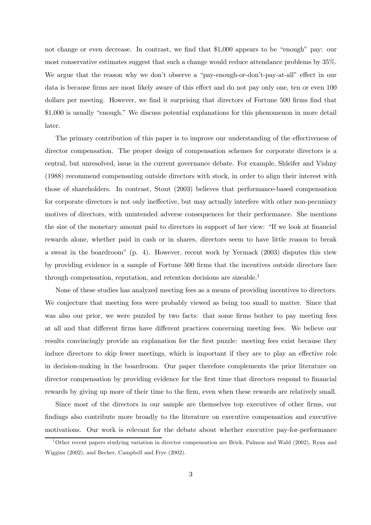not change or even decrease. In contrast, we find that \$1,000 appears to be "enough" pay: our most conservative estimates suggest that such a change would reduce attendance problems by 35%. We argue that the reason why we don't observe a "pay-enough-or-don't-pay-at-all" effect in our data is because firms are most likely aware of this effect and do not pay only one, ten or even 100 dollars per meeting. However, we find it surprising that directors of Fortune 500 firms find that \$1,000 is usually "enough." We discuss potential explanations for this phenomenon in more detail later.

The primary contribution of this paper is to improve our understanding of the effectiveness of director compensation. The proper design of compensation schemes for corporate directors is a central, but unresolved, issue in the current governance debate. For example, Shleifer and Vishny (1988) recommend compensating outside directors with stock, in order to align their interest with those of shareholders. In contrast, Stout (2003) believes that performance-based compensation for corporate directors is not only ineffective, but may actually interfere with other non-pecuniary motives of directors, with unintended adverse consequences for their performance. She mentions the size of the monetary amount paid to directors in support of her view: "If we look at financial rewards alone, whether paid in cash or in shares, directors seem to have little reason to break a sweat in the boardroom" (p. 4). However, recent work by Yermack (2003) disputes this view by providing evidence in a sample of Fortune 500 firms that the incentives outside directors face through compensation, reputation, and retention decisions are sizeable.1

None of these studies has analyzed meeting fees as a means of providing incentives to directors. We conjecture that meeting fees were probably viewed as being too small to matter. Since that was also our prior, we were puzzled by two facts: that some firms bother to pay meeting fees at all and that different firms have different practices concerning meeting fees. We believe our results convincingly provide an explanation for the first puzzle: meeting fees exist because they induce directors to skip fewer meetings, which is important if they are to play an effective role in decision-making in the boardroom. Our paper therefore complements the prior literature on director compensation by providing evidence for the first time that directors respond to financial rewards by giving up more of their time to the firm, even when these rewards are relatively small.

Since most of the directors in our sample are themselves top executives of other firms, our findings also contribute more broadly to the literature on executive compensation and executive motivations. Our work is relevant for the debate about whether executive pay-for-performance

<sup>1</sup>Other recent papers studying variation in director compensation are Brick, Palmon and Wald (2002), Ryan and Wiggins (2002), and Becher, Campbell and Frye (2002).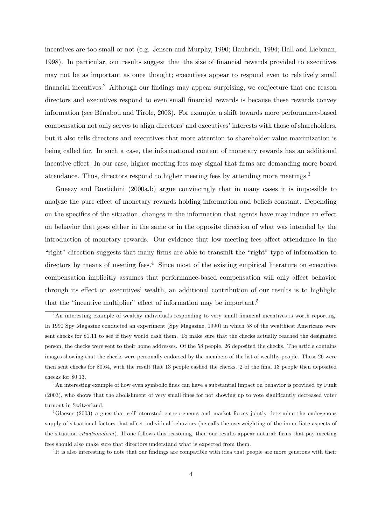incentives are too small or not (e.g. Jensen and Murphy, 1990; Haubrich, 1994; Hall and Liebman, 1998). In particular, our results suggest that the size of financial rewards provided to executives may not be as important as once thought; executives appear to respond even to relatively small financial incentives.<sup>2</sup> Although our findings may appear surprising, we conjecture that one reason directors and executives respond to even small financial rewards is because these rewards convey information (see Bénabou and Tirole, 2003). For example, a shift towards more performance-based compensation not only serves to align directors' and executives' interests with those of shareholders, but it also tells directors and executives that more attention to shareholder value maximization is being called for. In such a case, the informational content of monetary rewards has an additional incentive effect. In our case, higher meeting fees may signal that firms are demanding more board attendance. Thus, directors respond to higher meeting fees by attending more meetings.3

Gneezy and Rustichini (2000a,b) argue convincingly that in many cases it is impossible to analyze the pure effect of monetary rewards holding information and beliefs constant. Depending on the specifics of the situation, changes in the information that agents have may induce an effect on behavior that goes either in the same or in the opposite direction of what was intended by the introduction of monetary rewards. Our evidence that low meeting fees affect attendance in the "right" direction suggests that many firms are able to transmit the "right" type of information to directors by means of meeting fees.<sup>4</sup> Since most of the existing empirical literature on executive compensation implicitly assumes that performance-based compensation will only affect behavior through its effect on executives' wealth, an additional contribution of our results is to highlight that the "incentive multiplier" effect of information may be important.<sup>5</sup>

<sup>&</sup>lt;sup>2</sup>An interesting example of wealthy individuals responding to very small financial incentives is worth reporting. In 1990 Spy Magazine conducted an experiment (Spy Magazine, 1990) in which 58 of the wealthiest Americans were sent checks for \$1.11 to see if they would cash them. To make sure that the checks actually reached the designated person, the checks were sent to their home addresses. Of the 58 people, 26 deposited the checks. The article contains images showing that the checks were personally endorsed by the members of the list of wealthy people. These 26 were then sent checks for \$0.64, with the result that 13 people cashed the checks. 2 of the final 13 people then deposited checks for \$0.13.

<sup>&</sup>lt;sup>3</sup>An interesting example of how even symbolic fines can have a substantial impact on behavior is provided by Funk (2003), who shows that the abolishment of very small fines for not showing up to vote significantly decreased voter turnout in Switzerland.

<sup>&</sup>lt;sup>4</sup>Glaeser (2003) argues that self-interested entrepreneurs and market forces jointly determine the endogenous supply of situational factors that affect individual behaviors (he calls the overweighting of the immediate aspects of the situation situationalism). If one follows this reasoning, then our results appear natural: firms that pay meeting fees should also make sure that directors understand what is expected from them.

<sup>&</sup>lt;sup>5</sup>It is also interesting to note that our findings are compatible with idea that people are more generous with their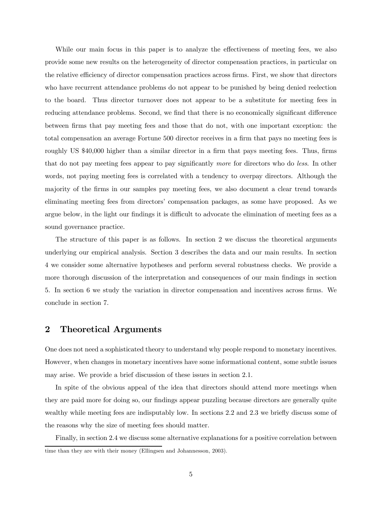While our main focus in this paper is to analyze the effectiveness of meeting fees, we also provide some new results on the heterogeneity of director compensation practices, in particular on the relative efficiency of director compensation practices across firms. First, we show that directors who have recurrent attendance problems do not appear to be punished by being denied reelection to the board. Thus director turnover does not appear to be a substitute for meeting fees in reducing attendance problems. Second, we find that there is no economically significant difference between firms that pay meeting fees and those that do not, with one important exception: the total compensation an average Fortune 500 director receives in a firm that pays no meeting fees is roughly US \$40,000 higher than a similar director in a firm that pays meeting fees. Thus, firms that do not pay meeting fees appear to pay significantly more for directors who do less. In other words, not paying meeting fees is correlated with a tendency to overpay directors. Although the majority of the firms in our samples pay meeting fees, we also document a clear trend towards eliminating meeting fees from directors' compensation packages, as some have proposed. As we argue below, in the light our findings it is difficult to advocate the elimination of meeting fees as a sound governance practice.

The structure of this paper is as follows. In section 2 we discuss the theoretical arguments underlying our empirical analysis. Section 3 describes the data and our main results. In section 4 we consider some alternative hypotheses and perform several robustness checks. We provide a more thorough discussion of the interpretation and consequences of our main findings in section 5. In section 6 we study the variation in director compensation and incentives across firms. We conclude in section 7.

# 2 Theoretical Arguments

One does not need a sophisticated theory to understand why people respond to monetary incentives. However, when changes in monetary incentives have some informational content, some subtle issues may arise. We provide a brief discussion of these issues in section 2.1.

In spite of the obvious appeal of the idea that directors should attend more meetings when they are paid more for doing so, our findings appear puzzling because directors are generally quite wealthy while meeting fees are indisputably low. In sections 2.2 and 2.3 we briefly discuss some of the reasons why the size of meeting fees should matter.

Finally, in section 2.4 we discuss some alternative explanations for a positive correlation between time than they are with their money (Ellingsen and Johannesson, 2003).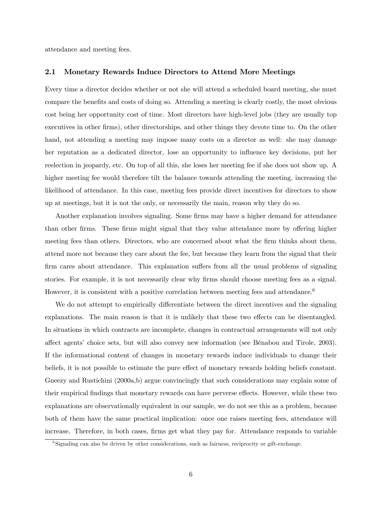attendance and meeting fees.

## 2.1 Monetary Rewards Induce Directors to Attend More Meetings

Every time a director decides whether or not she will attend a scheduled board meeting, she must compare the benefits and costs of doing so. Attending a meeting is clearly costly, the most obvious cost being her opportunity cost of time. Most directors have high-level jobs (they are usually top executives in other firms), other directorships, and other things they devote time to. On the other hand, not attending a meeting may impose many costs on a director as well: she may damage her reputation as a dedicated director, lose an opportunity to influence key decisions, put her reelection in jeopardy, etc. On top of all this, she loses her meeting fee if she does not show up. A higher meeting fee would therefore tilt the balance towards attending the meeting, increasing the likelihood of attendance. In this case, meeting fees provide direct incentives for directors to show up at meetings, but it is not the only, or necessarily the main, reason why they do so.

Another explanation involves signaling. Some firms may have a higher demand for attendance than other firms. These firms might signal that they value attendance more by offering higher meeting fees than others. Directors, who are concerned about what the firm thinks about them, attend more not because they care about the fee, but because they learn from the signal that their firm cares about attendance. This explanation suffers from all the usual problems of signaling stories. For example, it is not necessarily clear why firms should choose meeting fees as a signal. However, it is consistent with a positive correlation between meeting fees and attendance.<sup>6</sup>

We do not attempt to empirically differentiate between the direct incentives and the signaling explanations. The main reason is that it is unlikely that these two effects can be disentangled. In situations in which contracts are incomplete, changes in contractual arrangements will not only affect agents' choice sets, but will also convey new information (see Bénabou and Tirole, 2003). If the informational content of changes in monetary rewards induce individuals to change their beliefs, it is not possible to estimate the pure effect of monetary rewards holding beliefs constant. Gneezy and Rustichini (2000a,b) argue convincingly that such considerations may explain some of their empirical findings that monetary rewards can have perverse effects. However, while these two explanations are observationally equivalent in our sample, we do not see this as a problem, because both of them have the same practical implication: once one raises meeting fees, attendance will increase. Therefore, in both cases, firms get what they pay for. Attendance responds to variable

 $6$ Signaling can also be driven by other considerations, such as fairness, reciprocity or gift-exchange.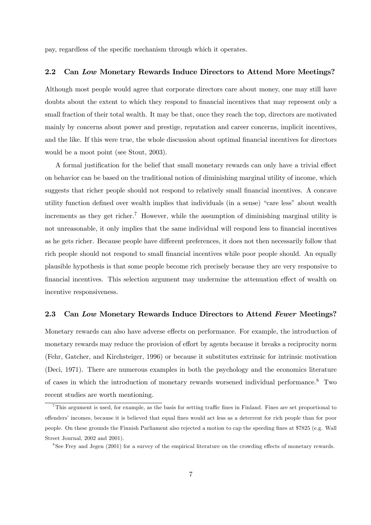pay, regardless of the specific mechanism through which it operates.

## 2.2 Can Low Monetary Rewards Induce Directors to Attend More Meetings?

Although most people would agree that corporate directors care about money, one may still have doubts about the extent to which they respond to financial incentives that may represent only a small fraction of their total wealth. It may be that, once they reach the top, directors are motivated mainly by concerns about power and prestige, reputation and career concerns, implicit incentives, and the like. If this were true, the whole discussion about optimal financial incentives for directors would be a moot point (see Stout, 2003).

A formal justification for the belief that small monetary rewards can only have a trivial effect on behavior can be based on the traditional notion of diminishing marginal utility of income, which suggests that richer people should not respond to relatively small financial incentives. A concave utility function defined over wealth implies that individuals (in a sense) "care less" about wealth increments as they get richer.<sup>7</sup> However, while the assumption of diminishing marginal utility is not unreasonable, it only implies that the same individual will respond less to financial incentives as he gets richer. Because people have different preferences, it does not then necessarily follow that rich people should not respond to small financial incentives while poor people should. An equally plausible hypothesis is that some people become rich precisely because they are very responsive to financial incentives. This selection argument may undermine the attenuation effect of wealth on incentive responsiveness.

## 2.3 Can Low Monetary Rewards Induce Directors to Attend Fewer Meetings?

Monetary rewards can also have adverse effects on performance. For example, the introduction of monetary rewards may reduce the provision of effort by agents because it breaks a reciprocity norm (Fehr, Gatcher, and Kirchsteiger, 1996) or because it substitutes extrinsic for intrinsic motivation (Deci, 1971). There are numerous examples in both the psychology and the economics literature of cases in which the introduction of monetary rewards worsened individual performance.8 Two recent studies are worth mentioning.

<sup>7</sup>This argument is used, for example, as the basis for setting traffic fines in Finland. Fines are set proportional to offenders' incomes, because it is believed that equal fines would act less as a deterrent for rich people than for poor people. On these grounds the Finnish Parliament also rejected a motion to cap the speeding fines at \$7825 (e.g. Wall Street Journal, 2002 and 2001).

<sup>8</sup>See Frey and Jegen (2001) for a survey of the empirical literature on the crowding effects of monetary rewards.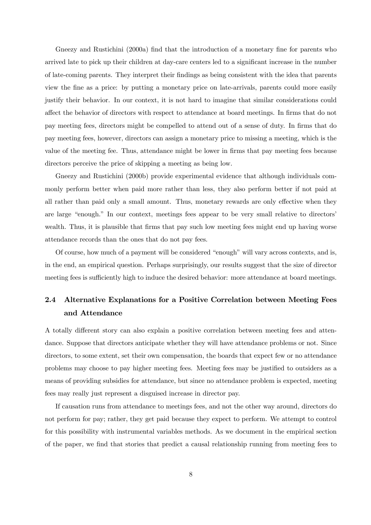Gneezy and Rustichini (2000a) find that the introduction of a monetary fine for parents who arrived late to pick up their children at day-care centers led to a significant increase in the number of late-coming parents. They interpret their findings as being consistent with the idea that parents view the fine as a price: by putting a monetary price on late-arrivals, parents could more easily justify their behavior. In our context, it is not hard to imagine that similar considerations could affect the behavior of directors with respect to attendance at board meetings. In firms that do not pay meeting fees, directors might be compelled to attend out of a sense of duty. In firms that do pay meeting fees, however, directors can assign a monetary price to missing a meeting, which is the value of the meeting fee. Thus, attendance might be lower in firms that pay meeting fees because directors perceive the price of skipping a meeting as being low.

Gneezy and Rustichini (2000b) provide experimental evidence that although individuals commonly perform better when paid more rather than less, they also perform better if not paid at all rather than paid only a small amount. Thus, monetary rewards are only effective when they are large "enough." In our context, meetings fees appear to be very small relative to directors' wealth. Thus, it is plausible that firms that pay such low meeting fees might end up having worse attendance records than the ones that do not pay fees.

Of course, how much of a payment will be considered "enough" will vary across contexts, and is, in the end, an empirical question. Perhaps surprisingly, our results suggest that the size of director meeting fees is sufficiently high to induce the desired behavior: more attendance at board meetings.

# 2.4 Alternative Explanations for a Positive Correlation between Meeting Fees and Attendance

A totally different story can also explain a positive correlation between meeting fees and attendance. Suppose that directors anticipate whether they will have attendance problems or not. Since directors, to some extent, set their own compensation, the boards that expect few or no attendance problems may choose to pay higher meeting fees. Meeting fees may be justified to outsiders as a means of providing subsidies for attendance, but since no attendance problem is expected, meeting fees may really just represent a disguised increase in director pay.

If causation runs from attendance to meetings fees, and not the other way around, directors do not perform for pay; rather, they get paid because they expect to perform. We attempt to control for this possibility with instrumental variables methods. As we document in the empirical section of the paper, we find that stories that predict a causal relationship running from meeting fees to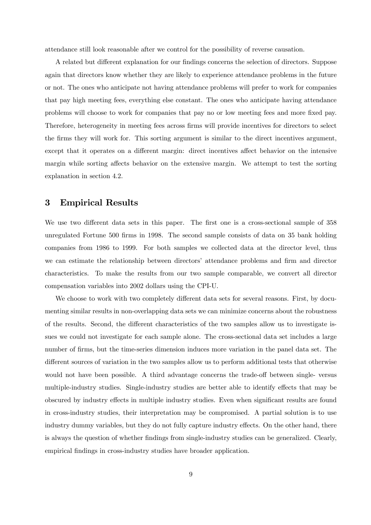attendance still look reasonable after we control for the possibility of reverse causation.

A related but different explanation for our findings concerns the selection of directors. Suppose again that directors know whether they are likely to experience attendance problems in the future or not. The ones who anticipate not having attendance problems will prefer to work for companies that pay high meeting fees, everything else constant. The ones who anticipate having attendance problems will choose to work for companies that pay no or low meeting fees and more fixed pay. Therefore, heterogeneity in meeting fees across firms will provide incentives for directors to select the firms they will work for. This sorting argument is similar to the direct incentives argument, except that it operates on a different margin: direct incentives affect behavior on the intensive margin while sorting affects behavior on the extensive margin. We attempt to test the sorting explanation in section 4.2.

# 3 Empirical Results

We use two different data sets in this paper. The first one is a cross-sectional sample of 358 unregulated Fortune 500 firms in 1998. The second sample consists of data on 35 bank holding companies from 1986 to 1999. For both samples we collected data at the director level, thus we can estimate the relationship between directors' attendance problems and firm and director characteristics. To make the results from our two sample comparable, we convert all director compensation variables into 2002 dollars using the CPI-U.

We choose to work with two completely different data sets for several reasons. First, by documenting similar results in non-overlapping data sets we can minimize concerns about the robustness of the results. Second, the different characteristics of the two samples allow us to investigate issues we could not investigate for each sample alone. The cross-sectional data set includes a large number of firms, but the time-series dimension induces more variation in the panel data set. The different sources of variation in the two samples allow us to perform additional tests that otherwise would not have been possible. A third advantage concerns the trade-off between single- versus multiple-industry studies. Single-industry studies are better able to identify effects that may be obscured by industry effects in multiple industry studies. Even when significant results are found in cross-industry studies, their interpretation may be compromised. A partial solution is to use industry dummy variables, but they do not fully capture industry effects. On the other hand, there is always the question of whether findings from single-industry studies can be generalized. Clearly, empirical findings in cross-industry studies have broader application.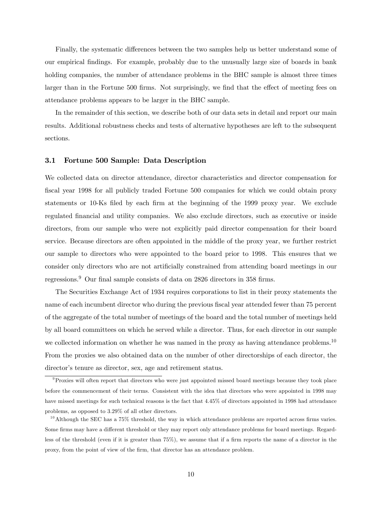Finally, the systematic differences between the two samples help us better understand some of our empirical findings. For example, probably due to the unusually large size of boards in bank holding companies, the number of attendance problems in the BHC sample is almost three times larger than in the Fortune 500 firms. Not surprisingly, we find that the effect of meeting fees on attendance problems appears to be larger in the BHC sample.

In the remainder of this section, we describe both of our data sets in detail and report our main results. Additional robustness checks and tests of alternative hypotheses are left to the subsequent sections.

## 3.1 Fortune 500 Sample: Data Description

We collected data on director attendance, director characteristics and director compensation for fiscal year 1998 for all publicly traded Fortune 500 companies for which we could obtain proxy statements or 10-Ks filed by each firm at the beginning of the 1999 proxy year. We exclude regulated financial and utility companies. We also exclude directors, such as executive or inside directors, from our sample who were not explicitly paid director compensation for their board service. Because directors are often appointed in the middle of the proxy year, we further restrict our sample to directors who were appointed to the board prior to 1998. This ensures that we consider only directors who are not artificially constrained from attending board meetings in our regressions.<sup>9</sup> Our final sample consists of data on 2826 directors in 358 firms.

The Securities Exchange Act of 1934 requires corporations to list in their proxy statements the name of each incumbent director who during the previous fiscal year attended fewer than 75 percent of the aggregate of the total number of meetings of the board and the total number of meetings held by all board committees on which he served while a director. Thus, for each director in our sample we collected information on whether he was named in the proxy as having attendance problems.<sup>10</sup> From the proxies we also obtained data on the number of other directorships of each director, the director's tenure as director, sex, age and retirement status.

<sup>&</sup>lt;sup>9</sup>Proxies will often report that directors who were just appointed missed board meetings because they took place before the commencement of their terms. Consistent with the idea that directors who were appointed in 1998 may have missed meetings for such technical reasons is the fact that 4.45% of directors appointed in 1998 had attendance problems, as opposed to 3.29% of all other directors.

 $10$ Although the SEC has a 75% threshold, the way in which attendance problems are reported across firms varies. Some firms may have a different threshold or they may report only attendance problems for board meetings. Regardless of the threshold (even if it is greater than 75%), we assume that if a firm reports the name of a director in the proxy, from the point of view of the firm, that director has an attendance problem.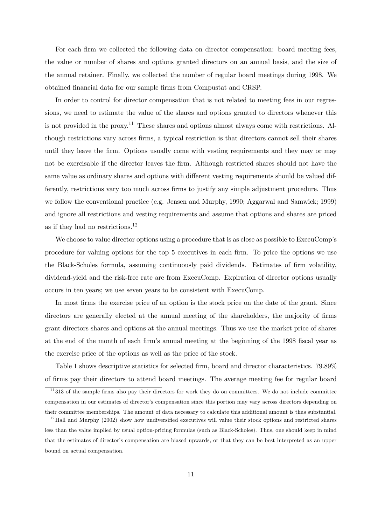For each firm we collected the following data on director compensation: board meeting fees, the value or number of shares and options granted directors on an annual basis, and the size of the annual retainer. Finally, we collected the number of regular board meetings during 1998. We obtained financial data for our sample firms from Compustat and CRSP.

In order to control for director compensation that is not related to meeting fees in our regressions, we need to estimate the value of the shares and options granted to directors whenever this is not provided in the proxy.<sup>11</sup> These shares and options almost always come with restrictions. Although restrictions vary across firms, a typical restriction is that directors cannot sell their shares until they leave the firm. Options usually come with vesting requirements and they may or may not be exercisable if the director leaves the firm. Although restricted shares should not have the same value as ordinary shares and options with different vesting requirements should be valued differently, restrictions vary too much across firms to justify any simple adjustment procedure. Thus we follow the conventional practice (e.g. Jensen and Murphy, 1990; Aggarwal and Samwick; 1999) and ignore all restrictions and vesting requirements and assume that options and shares are priced as if they had no restrictions.<sup>12</sup>

We choose to value director options using a procedure that is as close as possible to ExecuComp's procedure for valuing options for the top 5 executives in each firm. To price the options we use the Black-Scholes formula, assuming continuously paid dividends. Estimates of firm volatility, dividend-yield and the risk-free rate are from ExecuComp. Expiration of director options usually occurs in ten years; we use seven years to be consistent with ExecuComp.

In most firms the exercise price of an option is the stock price on the date of the grant. Since directors are generally elected at the annual meeting of the shareholders, the majority of firms grant directors shares and options at the annual meetings. Thus we use the market price of shares at the end of the month of each firm's annual meeting at the beginning of the 1998 fiscal year as the exercise price of the options as well as the price of the stock.

Table 1 shows descriptive statistics for selected firm, board and director characteristics. 79.89% of firms pay their directors to attend board meetings. The average meeting fee for regular board

 $11313$  of the sample firms also pay their directors for work they do on committees. We do not include committee compensation in our estimates of director's compensation since this portion may vary across directors depending on their committee memberships. The amount of data necessary to calculate this additional amount is thus substantial.

 $12$ Hall and Murphy (2002) show how undiversified executives will value their stock options and restricted shares less than the value implied by usual option-pricing formulas (such as Black-Scholes). Thus, one should keep in mind that the estimates of director's compensation are biased upwards, or that they can be best interpreted as an upper bound on actual compensation.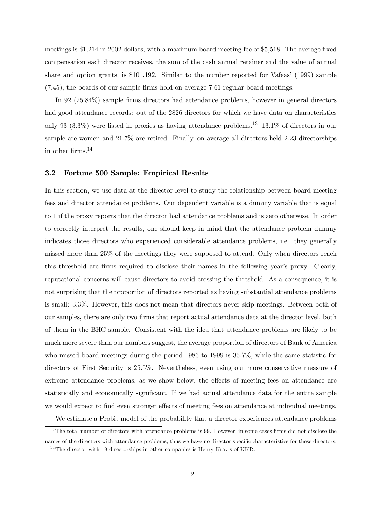meetings is \$1,214 in 2002 dollars, with a maximum board meeting fee of \$5,518. The average fixed compensation each director receives, the sum of the cash annual retainer and the value of annual share and option grants, is \$101,192. Similar to the number reported for Vafeas' (1999) sample (7.45), the boards of our sample firms hold on average 7.61 regular board meetings.

In 92 (25.84%) sample firms directors had attendance problems, however in general directors had good attendance records: out of the 2826 directors for which we have data on characteristics only 93 (3.3%) were listed in proxies as having attendance problems.<sup>13</sup> 13.1% of directors in our sample are women and 21.7% are retired. Finally, on average all directors held 2.23 directorships in other firms.14

## 3.2 Fortune 500 Sample: Empirical Results

In this section, we use data at the director level to study the relationship between board meeting fees and director attendance problems. Our dependent variable is a dummy variable that is equal to 1 if the proxy reports that the director had attendance problems and is zero otherwise. In order to correctly interpret the results, one should keep in mind that the attendance problem dummy indicates those directors who experienced considerable attendance problems, i.e. they generally missed more than 25% of the meetings they were supposed to attend. Only when directors reach this threshold are firms required to disclose their names in the following year's proxy. Clearly, reputational concerns will cause directors to avoid crossing the threshold. As a consequence, it is not surprising that the proportion of directors reported as having substantial attendance problems is small: 3.3%. However, this does not mean that directors never skip meetings. Between both of our samples, there are only two firms that report actual attendance data at the director level, both of them in the BHC sample. Consistent with the idea that attendance problems are likely to be much more severe than our numbers suggest, the average proportion of directors of Bank of America who missed board meetings during the period 1986 to 1999 is 35.7%, while the same statistic for directors of First Security is 25.5%. Nevertheless, even using our more conservative measure of extreme attendance problems, as we show below, the effects of meeting fees on attendance are statistically and economically significant. If we had actual attendance data for the entire sample we would expect to find even stronger effects of meeting fees on attendance at individual meetings.

We estimate a Probit model of the probability that a director experiences attendance problems

 $13$ The total number of directors with attendance problems is 99. However, in some cases firms did not disclose the names of the directors with attendance problems, thus we have no director specific characteristics for these directors.  $14$ The director with 19 directorships in other companies is Henry Kravis of KKR.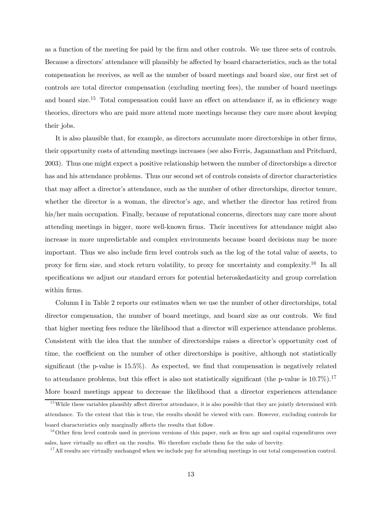as a function of the meeting fee paid by the firm and other controls. We use three sets of controls. Because a directors' attendance will plausibly be affected by board characteristics, such as the total compensation he receives, as well as the number of board meetings and board size, our first set of controls are total director compensation (excluding meeting fees), the number of board meetings and board size.<sup>15</sup> Total compensation could have an effect on attendance if, as in efficiency wage theories, directors who are paid more attend more meetings because they care more about keeping their jobs.

It is also plausible that, for example, as directors accumulate more directorships in other firms, their opportunity costs of attending meetings increases (see also Ferris, Jagannathan and Pritchard, 2003). Thus one might expect a positive relationship between the number of directorships a director has and his attendance problems. Thus our second set of controls consists of director characteristics that may affect a director's attendance, such as the number of other directorships, director tenure, whether the director is a woman, the director's age, and whether the director has retired from his/her main occupation. Finally, because of reputational concerns, directors may care more about attending meetings in bigger, more well-known firms. Their incentives for attendance might also increase in more unpredictable and complex environments because board decisions may be more important. Thus we also include firm level controls such as the log of the total value of assets, to proxy for firm size, and stock return volatility, to proxy for uncertainty and complexity.<sup>16</sup> In all specifications we adjust our standard errors for potential heteroskedasticity and group correlation within firms.

Column I in Table 2 reports our estimates when we use the number of other directorships, total director compensation, the number of board meetings, and board size as our controls. We find that higher meeting fees reduce the likelihood that a director will experience attendance problems. Consistent with the idea that the number of directorships raises a director's opportunity cost of time, the coefficient on the number of other directorships is positive, although not statistically significant (the p-value is 15.5%). As expected, we find that compensation is negatively related to attendance problems, but this effect is also not statistically significant (the p-value is  $10.7\%$ ).<sup>17</sup> More board meetings appear to decrease the likelihood that a director experiences attendance

 $15$  While these variables plausibly affect director attendance, it is also possible that they are jointly determined with attendance. To the extent that this is true, the results should be viewed with care. However, excluding controls for board characteristics only marginally affects the results that follow.

 $16$ Other firm level controls used in previous versions of this paper, such as firm age and capital expenditures over sales, have virtually no effect on the results. We therefore exclude them for the sake of brevity.

 $17$  All results are virtually unchanged when we include pay for attending meetings in our total compensation control.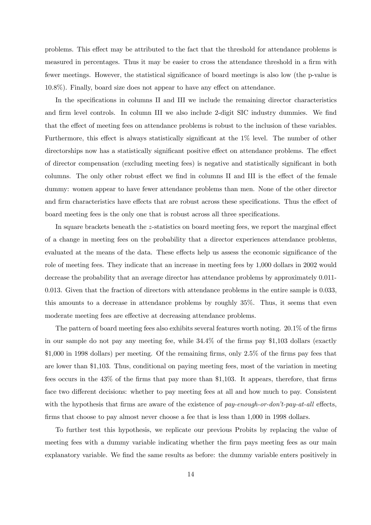problems. This effect may be attributed to the fact that the threshold for attendance problems is measured in percentages. Thus it may be easier to cross the attendance threshold in a firm with fewer meetings. However, the statistical significance of board meetings is also low (the p-value is 10.8%). Finally, board size does not appear to have any effect on attendance.

In the specifications in columns II and III we include the remaining director characteristics and firm level controls. In column III we also include 2-digit SIC industry dummies. We find that the effect of meeting fees on attendance problems is robust to the inclusion of these variables. Furthermore, this effect is always statistically significant at the 1% level. The number of other directorships now has a statistically significant positive effect on attendance problems. The effect of director compensation (excluding meeting fees) is negative and statistically significant in both columns. The only other robust effect we find in columns II and III is the effect of the female dummy: women appear to have fewer attendance problems than men. None of the other director and firm characteristics have effects that are robust across these specifications. Thus the effect of board meeting fees is the only one that is robust across all three specifications.

In square brackets beneath the z-statistics on board meeting fees, we report the marginal effect of a change in meeting fees on the probability that a director experiences attendance problems, evaluated at the means of the data. These effects help us assess the economic significance of the role of meeting fees. They indicate that an increase in meeting fees by 1,000 dollars in 2002 would decrease the probability that an average director has attendance problems by approximately 0.011- 0.013. Given that the fraction of directors with attendance problems in the entire sample is 0.033, this amounts to a decrease in attendance problems by roughly 35%. Thus, it seems that even moderate meeting fees are effective at decreasing attendance problems.

The pattern of board meeting fees also exhibits several features worth noting. 20.1% of the firms in our sample do not pay any meeting fee, while 34.4% of the firms pay \$1,103 dollars (exactly \$1,000 in 1998 dollars) per meeting. Of the remaining firms, only 2.5% of the firms pay fees that are lower than \$1,103. Thus, conditional on paying meeting fees, most of the variation in meeting fees occurs in the 43% of the firms that pay more than \$1,103. It appears, therefore, that firms face two different decisions: whether to pay meeting fees at all and how much to pay. Consistent with the hypothesis that firms are aware of the existence of pay-enough-or-don't-pay-at-all effects, firms that choose to pay almost never choose a fee that is less than 1,000 in 1998 dollars.

To further test this hypothesis, we replicate our previous Probits by replacing the value of meeting fees with a dummy variable indicating whether the firm pays meeting fees as our main explanatory variable. We find the same results as before: the dummy variable enters positively in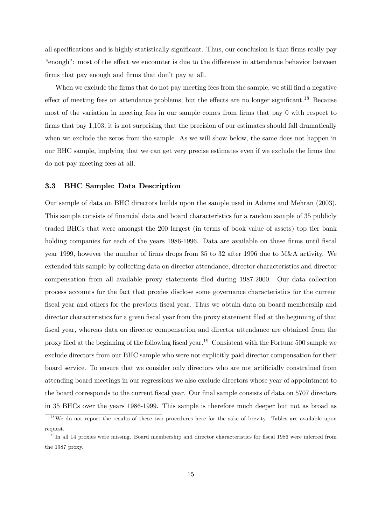all specifications and is highly statistically significant. Thus, our conclusion is that firms really pay "enough": most of the effect we encounter is due to the difference in attendance behavior between firms that pay enough and firms that don't pay at all.

When we exclude the firms that do not pay meeting fees from the sample, we still find a negative effect of meeting fees on attendance problems, but the effects are no longer significant.<sup>18</sup> Because most of the variation in meeting fees in our sample comes from firms that pay 0 with respect to firms that pay 1,103, it is not surprising that the precision of our estimates should fall dramatically when we exclude the zeros from the sample. As we will show below, the same does not happen in our BHC sample, implying that we can get very precise estimates even if we exclude the firms that do not pay meeting fees at all.

## 3.3 BHC Sample: Data Description

Our sample of data on BHC directors builds upon the sample used in Adams and Mehran (2003). This sample consists of financial data and board characteristics for a random sample of 35 publicly traded BHCs that were amongst the 200 largest (in terms of book value of assets) top tier bank holding companies for each of the years 1986-1996. Data are available on these firms until fiscal year 1999, however the number of firms drops from 35 to 32 after 1996 due to M&A activity. We extended this sample by collecting data on director attendance, director characteristics and director compensation from all available proxy statements filed during 1987-2000. Our data collection process accounts for the fact that proxies disclose some governance characteristics for the current fiscal year and others for the previous fiscal year. Thus we obtain data on board membership and director characteristics for a given fiscal year from the proxy statement filed at the beginning of that fiscal year, whereas data on director compensation and director attendance are obtained from the proxy filed at the beginning of the following fiscal year.<sup>19</sup> Consistent with the Fortune 500 sample we exclude directors from our BHC sample who were not explicitly paid director compensation for their board service. To ensure that we consider only directors who are not artificially constrained from attending board meetings in our regressions we also exclude directors whose year of appointment to the board corresponds to the current fiscal year. Our final sample consists of data on 5707 directors in 35 BHCs over the years 1986-1999. This sample is therefore much deeper but not as broad as

<sup>&</sup>lt;sup>18</sup>We do not report the results of these two procedures here for the sake of brevity. Tables are available upon request.

 $19$ In all 14 proxies were missing. Board membership and director characteristics for fiscal 1986 were inferred from the 1987 proxy.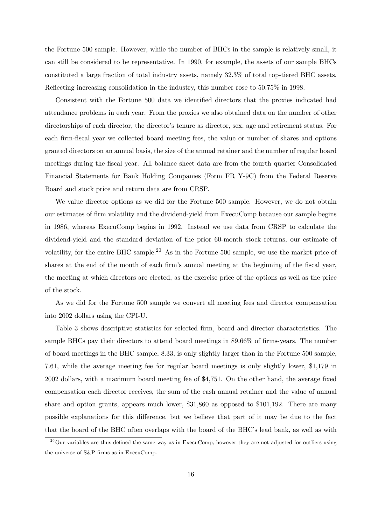the Fortune 500 sample. However, while the number of BHCs in the sample is relatively small, it can still be considered to be representative. In 1990, for example, the assets of our sample BHCs constituted a large fraction of total industry assets, namely 32.3% of total top-tiered BHC assets. Reflecting increasing consolidation in the industry, this number rose to 50.75% in 1998.

Consistent with the Fortune 500 data we identified directors that the proxies indicated had attendance problems in each year. From the proxies we also obtained data on the number of other directorships of each director, the director's tenure as director, sex, age and retirement status. For each firm-fiscal year we collected board meeting fees, the value or number of shares and options granted directors on an annual basis, the size of the annual retainer and the number of regular board meetings during the fiscal year. All balance sheet data are from the fourth quarter Consolidated Financial Statements for Bank Holding Companies (Form FR Y-9C) from the Federal Reserve Board and stock price and return data are from CRSP.

We value director options as we did for the Fortune 500 sample. However, we do not obtain our estimates of firm volatility and the dividend-yield from ExecuComp because our sample begins in 1986, whereas ExecuComp begins in 1992. Instead we use data from CRSP to calculate the dividend-yield and the standard deviation of the prior 60-month stock returns, our estimate of volatility, for the entire BHC sample.<sup>20</sup> As in the Fortune 500 sample, we use the market price of shares at the end of the month of each firm's annual meeting at the beginning of the fiscal year, the meeting at which directors are elected, as the exercise price of the options as well as the price of the stock.

As we did for the Fortune 500 sample we convert all meeting fees and director compensation into 2002 dollars using the CPI-U.

Table 3 shows descriptive statistics for selected firm, board and director characteristics. The sample BHCs pay their directors to attend board meetings in 89.66% of firms-years. The number of board meetings in the BHC sample, 8.33, is only slightly larger than in the Fortune 500 sample, 7.61, while the average meeting fee for regular board meetings is only slightly lower, \$1,179 in 2002 dollars, with a maximum board meeting fee of \$4,751. On the other hand, the average fixed compensation each director receives, the sum of the cash annual retainer and the value of annual share and option grants, appears much lower, \$31,860 as opposed to \$101,192. There are many possible explanations for this difference, but we believe that part of it may be due to the fact that the board of the BHC often overlaps with the board of the BHC's lead bank, as well as with

 $^{20}$ Our variables are thus defined the same way as in ExecuComp, however they are not adjusted for outliers using the universe of S&P firms as in ExecuComp.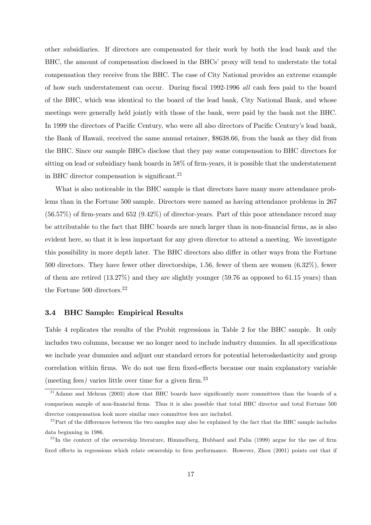other subsidiaries. If directors are compensated for their work by both the lead bank and the BHC, the amount of compensation disclosed in the BHCs' proxy will tend to understate the total compensation they receive from the BHC. The case of City National provides an extreme example of how such understatement can occur. During fiscal 1992-1996 all cash fees paid to the board of the BHC, which was identical to the board of the lead bank, City National Bank, and whose meetings were generally held jointly with those of the bank, were paid by the bank not the BHC. In 1999 the directors of Pacific Century, who were all also directors of Pacific Century's lead bank, the Bank of Hawaii, received the same annual retainer, \$8638.66, from the bank as they did from the BHC. Since our sample BHCs disclose that they pay some compensation to BHC directors for sitting on lead or subsidiary bank boards in 58% of firm-years, it is possible that the understatement in BHC director compensation is significant.<sup>21</sup>

What is also noticeable in the BHC sample is that directors have many more attendance problems than in the Fortune 500 sample. Directors were named as having attendance problems in 267 (56.57%) of firm-years and 652 (9.42%) of director-years. Part of this poor attendance record may be attributable to the fact that BHC boards are much larger than in non-financial firms, as is also evident here, so that it is less important for any given director to attend a meeting. We investigate this possibility in more depth later. The BHC directors also differ in other ways from the Fortune 500 directors. They have fewer other directorships, 1.56, fewer of them are women (6.32%), fewer of them are retired (13.27%) and they are slightly younger (59.76 as opposed to 61.15 years) than the Fortune 500 directors.<sup>22</sup>

## 3.4 BHC Sample: Empirical Results

Table 4 replicates the results of the Probit regressions in Table 2 for the BHC sample. It only includes two columns, because we no longer need to include industry dummies. In all specifications we include year dummies and adjust our standard errors for potential heteroskedasticity and group correlation within firms. We do not use firm fixed-effects because our main explanatory variable (meeting fees) varies little over time for a given firm.<sup>23</sup>

<sup>&</sup>lt;sup>21</sup> Adams and Mehran (2003) show that BHC boards have significantly more committees than the boards of a comparison sample of non-financial firms. Thus it is also possible that total BHC director and total Fortune 500 director compensation look more similar once committee fees are included.

 $2<sup>22</sup>$  Part of the differences between the two samples may also be explained by the fact that the BHC sample includes data beginning in 1986.

 $^{23}$ In the context of the ownership literature, Himmelberg, Hubbard and Palia (1999) argue for the use of firm fixed effects in regressions which relate ownership to firm performance. However, Zhou (2001) points out that if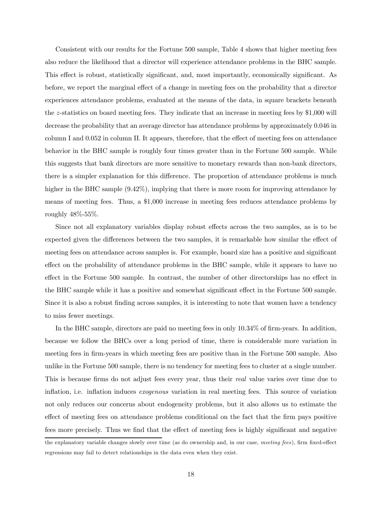Consistent with our results for the Fortune 500 sample, Table 4 shows that higher meeting fees also reduce the likelihood that a director will experience attendance problems in the BHC sample. This effect is robust, statistically significant, and, most importantly, economically significant. As before, we report the marginal effect of a change in meeting fees on the probability that a director experiences attendance problems, evaluated at the means of the data, in square brackets beneath the z-statistics on board meeting fees. They indicate that an increase in meeting fees by \$1,000 will decrease the probability that an average director has attendance problems by approximately 0.046 in column I and 0.052 in column II. It appears, therefore, that the effect of meeting fees on attendance behavior in the BHC sample is roughly four times greater than in the Fortune 500 sample. While this suggests that bank directors are more sensitive to monetary rewards than non-bank directors, there is a simpler explanation for this difference. The proportion of attendance problems is much higher in the BHC sample  $(9.42\%)$ , implying that there is more room for improving attendance by means of meeting fees. Thus, a \$1,000 increase in meeting fees reduces attendance problems by roughly 48%-55%.

Since not all explanatory variables display robust effects across the two samples, as is to be expected given the differences between the two samples, it is remarkable how similar the effect of meeting fees on attendance across samples is. For example, board size has a positive and significant effect on the probability of attendance problems in the BHC sample, while it appears to have no effect in the Fortune 500 sample. In contrast, the number of other directorships has no effect in the BHC sample while it has a positive and somewhat significant effect in the Fortune 500 sample. Since it is also a robust finding across samples, it is interesting to note that women have a tendency to miss fewer meetings.

In the BHC sample, directors are paid no meeting fees in only 10.34% of firm-years. In addition, because we follow the BHCs over a long period of time, there is considerable more variation in meeting fees in firm-years in which meeting fees are positive than in the Fortune 500 sample. Also unlike in the Fortune 500 sample, there is no tendency for meeting fees to cluster at a single number. This is because firms do not adjust fees every year, thus their real value varies over time due to inflation, i.e. inflation induces exogenous variation in real meeting fees. This source of variation not only reduces our concerns about endogeneity problems, but it also allows us to estimate the effect of meeting fees on attendance problems conditional on the fact that the firm pays positive fees more precisely. Thus we find that the effect of meeting fees is highly significant and negative

the explanatory variable changes slowly over time (as do ownership and, in our case, meeting fees), firm fixed-effect regressions may fail to detect relationships in the data even when they exist.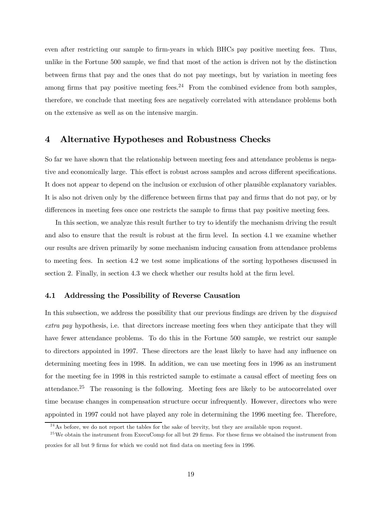even after restricting our sample to firm-years in which BHCs pay positive meeting fees. Thus, unlike in the Fortune 500 sample, we find that most of the action is driven not by the distinction between firms that pay and the ones that do not pay meetings, but by variation in meeting fees among firms that pay positive meeting fees. $24$  From the combined evidence from both samples, therefore, we conclude that meeting fees are negatively correlated with attendance problems both on the extensive as well as on the intensive margin.

## 4 Alternative Hypotheses and Robustness Checks

So far we have shown that the relationship between meeting fees and attendance problems is negative and economically large. This effect is robust across samples and across different specifications. It does not appear to depend on the inclusion or exclusion of other plausible explanatory variables. It is also not driven only by the difference between firms that pay and firms that do not pay, or by differences in meeting fees once one restricts the sample to firms that pay positive meeting fees.

In this section, we analyze this result further to try to identify the mechanism driving the result and also to ensure that the result is robust at the firm level. In section 4.1 we examine whether our results are driven primarily by some mechanism inducing causation from attendance problems to meeting fees. In section 4.2 we test some implications of the sorting hypotheses discussed in section 2. Finally, in section 4.3 we check whether our results hold at the firm level.

## 4.1 Addressing the Possibility of Reverse Causation

In this subsection, we address the possibility that our previous findings are driven by the *disquised* extra pay hypothesis, i.e. that directors increase meeting fees when they anticipate that they will have fewer attendance problems. To do this in the Fortune 500 sample, we restrict our sample to directors appointed in 1997. These directors are the least likely to have had any influence on determining meeting fees in 1998. In addition, we can use meeting fees in 1996 as an instrument for the meeting fee in 1998 in this restricted sample to estimate a causal effect of meeting fees on attendance.<sup>25</sup> The reasoning is the following. Meeting fees are likely to be autocorrelated over time because changes in compensation structure occur infrequently. However, directors who were appointed in 1997 could not have played any role in determining the 1996 meeting fee. Therefore,

 $^{24}$ As before, we do not report the tables for the sake of brevity, but they are available upon request.

<sup>&</sup>lt;sup>25</sup>We obtain the instrument from ExecuComp for all but 29 firms. For these firms we obtained the instrument from proxies for all but 9 firms for which we could not find data on meeting fees in 1996.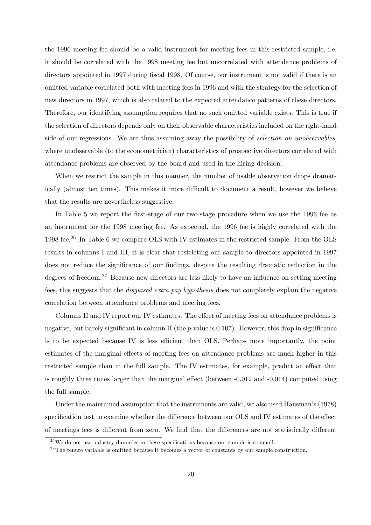the 1996 meeting fee should be a valid instrument for meeting fees in this restricted sample, i.e. it should be correlated with the 1998 meeting fee but uncorrelated with attendance problems of directors appointed in 1997 during fiscal 1998. Of course, our instrument is not valid if there is an omitted variable correlated both with meeting fees in 1996 and with the strategy for the selection of new directors in 1997, which is also related to the expected attendance patterns of these directors. Therefore, our identifying assumption requires that no such omitted variable exists. This is true if the selection of directors depends only on their observable characteristics included on the right-hand side of our regressions. We are thus assuming away the possibility of *selection on unobservables*, where unobservable (to the econometrician) characteristics of prospective directors correlated with attendance problems are observed by the board and used in the hiring decision.

When we restrict the sample in this manner, the number of usable observation drops dramatically (almost ten times). This makes it more difficult to document a result, however we believe that the results are nevertheless suggestive.

In Table 5 we report the first-stage of our two-stage procedure when we use the 1996 fee as an instrument for the 1998 meeting fee. As expected, the 1996 fee is highly correlated with the 1998 fee.26 In Table 6 we compare OLS with IV estimates in the restricted sample. From the OLS results in columns I and III, it is clear that restricting our sample to directors appointed in 1997 does not reduce the significance of our findings, despite the resulting dramatic reduction in the degrees of freedom.27 Because new directors are less likely to have an influence on setting meeting fees, this suggests that the disguised extra pay hypothesis does not completely explain the negative correlation between attendance problems and meeting fees.

Columns II and IV report our IV estimates. The effect of meeting fees on attendance problems is negative, but barely significant in column II (the  $p$ -value is 0.107). However, this drop in significance is to be expected because IV is less efficient than OLS. Perhaps more importantly, the point estimates of the marginal effects of meeting fees on attendance problems are much higher in this restricted sample than in the full sample. The IV estimates, for example, predict an effect that is roughly three times larger than the marginal effect (between -0.012 and -0.014) computed using the full sample.

Under the maintained assumption that the instruments are valid, we also used Hausman's (1978) specification test to examine whether the difference between our OLS and IV estimates of the effect of meetings fees is different from zero. We find that the differences are not statistically different

 $2<sup>6</sup>$  We do not use industry dummies in these specifications because our sample is so small.

 $27$ The tenure variable is omitted because it becomes a vector of constants by our sample construction.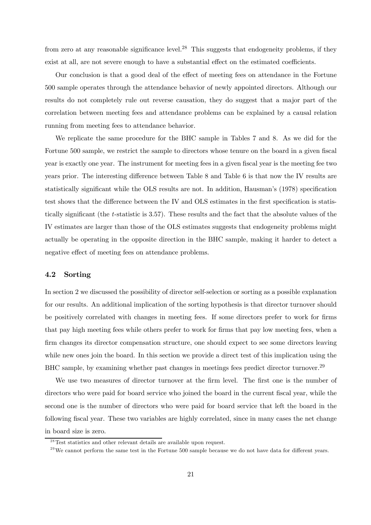from zero at any reasonable significance level.<sup>28</sup> This suggests that endogeneity problems, if they exist at all, are not severe enough to have a substantial effect on the estimated coefficients.

Our conclusion is that a good deal of the effect of meeting fees on attendance in the Fortune 500 sample operates through the attendance behavior of newly appointed directors. Although our results do not completely rule out reverse causation, they do suggest that a major part of the correlation between meeting fees and attendance problems can be explained by a causal relation running from meeting fees to attendance behavior.

We replicate the same procedure for the BHC sample in Tables 7 and 8. As we did for the Fortune 500 sample, we restrict the sample to directors whose tenure on the board in a given fiscal year is exactly one year. The instrument for meeting fees in a given fiscal year is the meeting fee two years prior. The interesting difference between Table 8 and Table 6 is that now the IV results are statistically significant while the OLS results are not. In addition, Hausman's (1978) specification test shows that the difference between the IV and OLS estimates in the first specification is statistically significant (the t-statistic is 3.57). These results and the fact that the absolute values of the IV estimates are larger than those of the OLS estimates suggests that endogeneity problems might actually be operating in the opposite direction in the BHC sample, making it harder to detect a negative effect of meeting fees on attendance problems.

## 4.2 Sorting

In section 2 we discussed the possibility of director self-selection or sorting as a possible explanation for our results. An additional implication of the sorting hypothesis is that director turnover should be positively correlated with changes in meeting fees. If some directors prefer to work for firms that pay high meeting fees while others prefer to work for firms that pay low meeting fees, when a firm changes its director compensation structure, one should expect to see some directors leaving while new ones join the board. In this section we provide a direct test of this implication using the BHC sample, by examining whether past changes in meetings fees predict director turnover.<sup>29</sup>

We use two measures of director turnover at the firm level. The first one is the number of directors who were paid for board service who joined the board in the current fiscal year, while the second one is the number of directors who were paid for board service that left the board in the following fiscal year. These two variables are highly correlated, since in many cases the net change in board size is zero.

 $28$ Test statistics and other relevant details are available upon request.

 $^{29}$ We cannot perform the same test in the Fortune 500 sample because we do not have data for different years.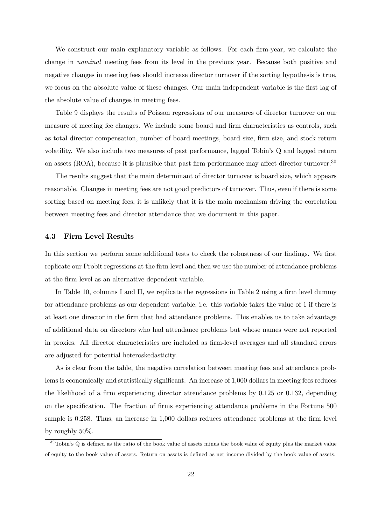We construct our main explanatory variable as follows. For each firm-year, we calculate the change in nominal meeting fees from its level in the previous year. Because both positive and negative changes in meeting fees should increase director turnover if the sorting hypothesis is true, we focus on the absolute value of these changes. Our main independent variable is the first lag of the absolute value of changes in meeting fees.

Table 9 displays the results of Poisson regressions of our measures of director turnover on our measure of meeting fee changes. We include some board and firm characteristics as controls, such as total director compensation, number of board meetings, board size, firm size, and stock return volatility. We also include two measures of past performance, lagged Tobin's Q and lagged return on assets (ROA), because it is plausible that past firm performance may affect director turnover.<sup>30</sup>

The results suggest that the main determinant of director turnover is board size, which appears reasonable. Changes in meeting fees are not good predictors of turnover. Thus, even if there is some sorting based on meeting fees, it is unlikely that it is the main mechanism driving the correlation between meeting fees and director attendance that we document in this paper.

## 4.3 Firm Level Results

In this section we perform some additional tests to check the robustness of our findings. We first replicate our Probit regressions at the firm level and then we use the number of attendance problems at the firm level as an alternative dependent variable.

In Table 10, columns I and II, we replicate the regressions in Table 2 using a firm level dummy for attendance problems as our dependent variable, i.e. this variable takes the value of 1 if there is at least one director in the firm that had attendance problems. This enables us to take advantage of additional data on directors who had attendance problems but whose names were not reported in proxies. All director characteristics are included as firm-level averages and all standard errors are adjusted for potential heteroskedasticity.

As is clear from the table, the negative correlation between meeting fees and attendance problems is economically and statistically significant. An increase of 1,000 dollars in meeting fees reduces the likelihood of a firm experiencing director attendance problems by 0.125 or 0.132, depending on the specification. The fraction of firms experiencing attendance problems in the Fortune 500 sample is 0.258. Thus, an increase in 1,000 dollars reduces attendance problems at the firm level by roughly 50%.

 $30$ Tobin's Q is defined as the ratio of the book value of assets minus the book value of equity plus the market value of equity to the book value of assets. Return on assets is defined as net income divided by the book value of assets.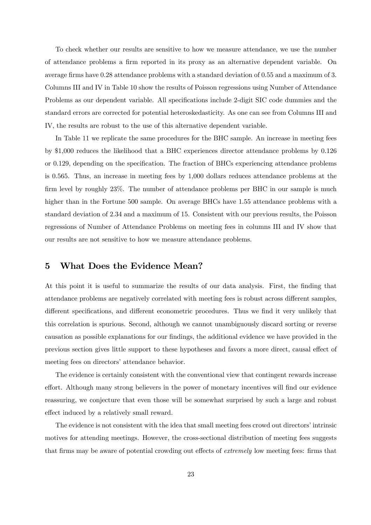To check whether our results are sensitive to how we measure attendance, we use the number of attendance problems a firm reported in its proxy as an alternative dependent variable. On average firms have 0.28 attendance problems with a standard deviation of 0.55 and a maximum of 3. Columns III and IV in Table 10 show the results of Poisson regressions using Number of Attendance Problems as our dependent variable. All specifications include 2-digit SIC code dummies and the standard errors are corrected for potential heteroskedasticity. As one can see from Columns III and IV, the results are robust to the use of this alternative dependent variable.

In Table 11 we replicate the same procedures for the BHC sample. An increase in meeting fees by \$1,000 reduces the likelihood that a BHC experiences director attendance problems by 0.126 or 0.129, depending on the specification. The fraction of BHCs experiencing attendance problems is 0.565. Thus, an increase in meeting fees by 1,000 dollars reduces attendance problems at the firm level by roughly 23%. The number of attendance problems per BHC in our sample is much higher than in the Fortune 500 sample. On average BHCs have 1.55 attendance problems with a standard deviation of 2.34 and a maximum of 15. Consistent with our previous results, the Poisson regressions of Number of Attendance Problems on meeting fees in columns III and IV show that our results are not sensitive to how we measure attendance problems.

# 5 What Does the Evidence Mean?

At this point it is useful to summarize the results of our data analysis. First, the finding that attendance problems are negatively correlated with meeting fees is robust across different samples, different specifications, and different econometric procedures. Thus we find it very unlikely that this correlation is spurious. Second, although we cannot unambiguously discard sorting or reverse causation as possible explanations for our findings, the additional evidence we have provided in the previous section gives little support to these hypotheses and favors a more direct, causal effect of meeting fees on directors' attendance behavior.

The evidence is certainly consistent with the conventional view that contingent rewards increase effort. Although many strong believers in the power of monetary incentives will find our evidence reassuring, we conjecture that even those will be somewhat surprised by such a large and robust effect induced by a relatively small reward.

The evidence is not consistent with the idea that small meeting fees crowd out directors' intrinsic motives for attending meetings. However, the cross-sectional distribution of meeting fees suggests that firms may be aware of potential crowding out effects of extremely low meeting fees: firms that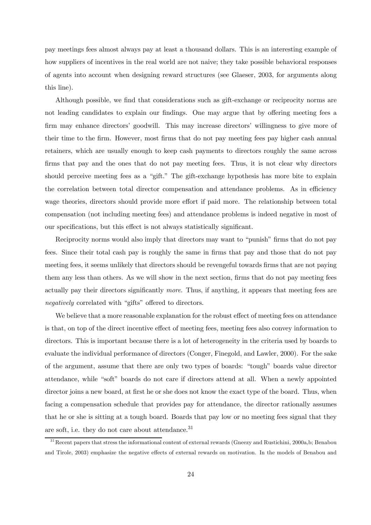pay meetings fees almost always pay at least a thousand dollars. This is an interesting example of how suppliers of incentives in the real world are not naive; they take possible behavioral responses of agents into account when designing reward structures (see Glaeser, 2003, for arguments along this line).

Although possible, we find that considerations such as gift-exchange or reciprocity norms are not leading candidates to explain our findings. One may argue that by offering meeting fees a firm may enhance directors' goodwill. This may increase directors' willingness to give more of their time to the firm. However, most firms that do not pay meeting fees pay higher cash annual retainers, which are usually enough to keep cash payments to directors roughly the same across firms that pay and the ones that do not pay meeting fees. Thus, it is not clear why directors should perceive meeting fees as a "gift." The gift-exchange hypothesis has more bite to explain the correlation between total director compensation and attendance problems. As in efficiency wage theories, directors should provide more effort if paid more. The relationship between total compensation (not including meeting fees) and attendance problems is indeed negative in most of our specifications, but this effect is not always statistically significant.

Reciprocity norms would also imply that directors may want to "punish" firms that do not pay fees. Since their total cash pay is roughly the same in firms that pay and those that do not pay meeting fees, it seems unlikely that directors should be revengeful towards firms that are not paying them any less than others. As we will show in the next section, firms that do not pay meeting fees actually pay their directors significantly more. Thus, if anything, it appears that meeting fees are negatively correlated with "gifts" offered to directors.

We believe that a more reasonable explanation for the robust effect of meeting fees on attendance is that, on top of the direct incentive effect of meeting fees, meeting fees also convey information to directors. This is important because there is a lot of heterogeneity in the criteria used by boards to evaluate the individual performance of directors (Conger, Finegold, and Lawler, 2000). For the sake of the argument, assume that there are only two types of boards: "tough" boards value director attendance, while "soft" boards do not care if directors attend at all. When a newly appointed director joins a new board, at first he or she does not know the exact type of the board. Thus, when facing a compensation schedule that provides pay for attendance, the director rationally assumes that he or she is sitting at a tough board. Boards that pay low or no meeting fees signal that they are soft, i.e. they do not care about attendance.<sup>31</sup>

<sup>&</sup>lt;sup>31</sup> Recent papers that stress the informational content of external rewards (Gneezy and Rustichini, 2000a,b; Benabou and Tirole, 2003) emphasize the negative effects of external rewards on motivation. In the models of Benabou and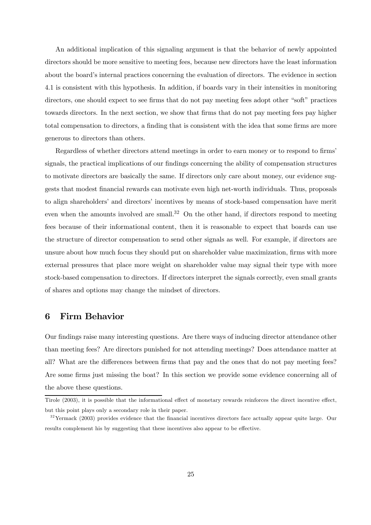An additional implication of this signaling argument is that the behavior of newly appointed directors should be more sensitive to meeting fees, because new directors have the least information about the board's internal practices concerning the evaluation of directors. The evidence in section 4.1 is consistent with this hypothesis. In addition, if boards vary in their intensities in monitoring directors, one should expect to see firms that do not pay meeting fees adopt other "soft" practices towards directors. In the next section, we show that firms that do not pay meeting fees pay higher total compensation to directors, a finding that is consistent with the idea that some firms are more generous to directors than others.

Regardless of whether directors attend meetings in order to earn money or to respond to firms' signals, the practical implications of our findings concerning the ability of compensation structures to motivate directors are basically the same. If directors only care about money, our evidence suggests that modest financial rewards can motivate even high net-worth individuals. Thus, proposals to align shareholders' and directors' incentives by means of stock-based compensation have merit even when the amounts involved are small.<sup>32</sup> On the other hand, if directors respond to meeting fees because of their informational content, then it is reasonable to expect that boards can use the structure of director compensation to send other signals as well. For example, if directors are unsure about how much focus they should put on shareholder value maximization, firms with more external pressures that place more weight on shareholder value may signal their type with more stock-based compensation to directors. If directors interpret the signals correctly, even small grants of shares and options may change the mindset of directors.

# 6 Firm Behavior

Our findings raise many interesting questions. Are there ways of inducing director attendance other than meeting fees? Are directors punished for not attending meetings? Does attendance matter at all? What are the differences between firms that pay and the ones that do not pay meeting fees? Are some firms just missing the boat? In this section we provide some evidence concerning all of the above these questions.

Tirole (2003), it is possible that the informational effect of monetary rewards reinforces the direct incentive effect, but this point plays only a secondary role in their paper.

 $32$ Yermack (2003) provides evidence that the financial incentives directors face actually appear quite large. Our results complement his by suggesting that these incentives also appear to be effective.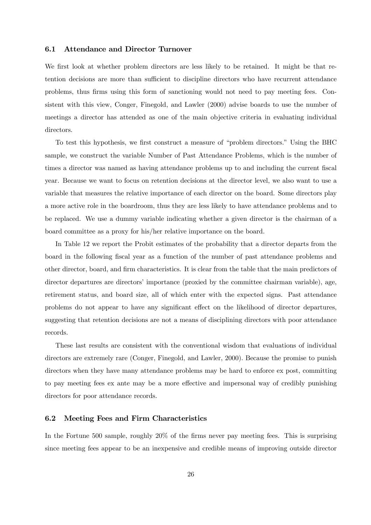#### 6.1 Attendance and Director Turnover

We first look at whether problem directors are less likely to be retained. It might be that retention decisions are more than sufficient to discipline directors who have recurrent attendance problems, thus firms using this form of sanctioning would not need to pay meeting fees. Consistent with this view, Conger, Finegold, and Lawler (2000) advise boards to use the number of meetings a director has attended as one of the main objective criteria in evaluating individual directors.

To test this hypothesis, we first construct a measure of "problem directors." Using the BHC sample, we construct the variable Number of Past Attendance Problems, which is the number of times a director was named as having attendance problems up to and including the current fiscal year. Because we want to focus on retention decisions at the director level, we also want to use a variable that measures the relative importance of each director on the board. Some directors play a more active role in the boardroom, thus they are less likely to have attendance problems and to be replaced. We use a dummy variable indicating whether a given director is the chairman of a board committee as a proxy for his/her relative importance on the board.

In Table 12 we report the Probit estimates of the probability that a director departs from the board in the following fiscal year as a function of the number of past attendance problems and other director, board, and firm characteristics. It is clear from the table that the main predictors of director departures are directors' importance (proxied by the committee chairman variable), age, retirement status, and board size, all of which enter with the expected signs. Past attendance problems do not appear to have any significant effect on the likelihood of director departures, suggesting that retention decisions are not a means of disciplining directors with poor attendance records.

These last results are consistent with the conventional wisdom that evaluations of individual directors are extremely rare (Conger, Finegold, and Lawler, 2000). Because the promise to punish directors when they have many attendance problems may be hard to enforce ex post, committing to pay meeting fees ex ante may be a more effective and impersonal way of credibly punishing directors for poor attendance records.

## 6.2 Meeting Fees and Firm Characteristics

In the Fortune 500 sample, roughly 20% of the firms never pay meeting fees. This is surprising since meeting fees appear to be an inexpensive and credible means of improving outside director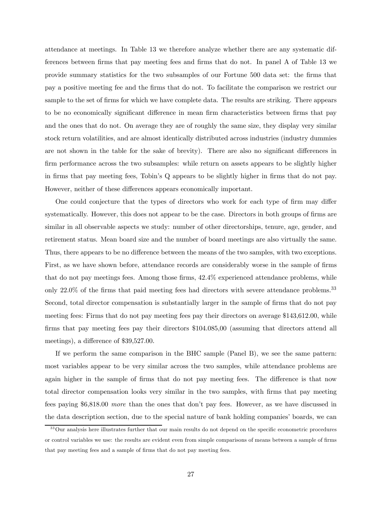attendance at meetings. In Table 13 we therefore analyze whether there are any systematic differences between firms that pay meeting fees and firms that do not. In panel A of Table 13 we provide summary statistics for the two subsamples of our Fortune 500 data set: the firms that pay a positive meeting fee and the firms that do not. To facilitate the comparison we restrict our sample to the set of firms for which we have complete data. The results are striking. There appears to be no economically significant difference in mean firm characteristics between firms that pay and the ones that do not. On average they are of roughly the same size, they display very similar stock return volatilities, and are almost identically distributed across industries (industry dummies are not shown in the table for the sake of brevity). There are also no significant differences in firm performance across the two subsamples: while return on assets appears to be slightly higher in firms that pay meeting fees, Tobin's Q appears to be slightly higher in firms that do not pay. However, neither of these differences appears economically important.

One could conjecture that the types of directors who work for each type of firm may differ systematically. However, this does not appear to be the case. Directors in both groups of firms are similar in all observable aspects we study: number of other directorships, tenure, age, gender, and retirement status. Mean board size and the number of board meetings are also virtually the same. Thus, there appears to be no difference between the means of the two samples, with two exceptions. First, as we have shown before, attendance records are considerably worse in the sample of firms that do not pay meetings fees. Among those firms, 42.4% experienced attendance problems, while only 22.0% of the firms that paid meeting fees had directors with severe attendance problems.<sup>33</sup> Second, total director compensation is substantially larger in the sample of firms that do not pay meeting fees: Firms that do not pay meeting fees pay their directors on average \$143,612.00, while firms that pay meeting fees pay their directors \$104.085,00 (assuming that directors attend all meetings), a difference of \$39,527.00.

If we perform the same comparison in the BHC sample (Panel B), we see the same pattern: most variables appear to be very similar across the two samples, while attendance problems are again higher in the sample of firms that do not pay meeting fees. The difference is that now total director compensation looks very similar in the two samples, with firms that pay meeting fees paying \$6,818.00 more than the ones that don't pay fees. However, as we have discussed in the data description section, due to the special nature of bank holding companies' boards, we can

<sup>&</sup>lt;sup>33</sup>Our analysis here illustrates further that our main results do not depend on the specific econometric procedures or control variables we use: the results are evident even from simple comparisons of means between a sample of firms that pay meeting fees and a sample of firms that do not pay meeting fees.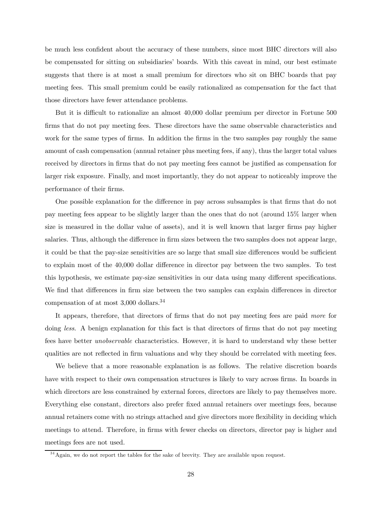be much less confident about the accuracy of these numbers, since most BHC directors will also be compensated for sitting on subsidiaries' boards. With this caveat in mind, our best estimate suggests that there is at most a small premium for directors who sit on BHC boards that pay meeting fees. This small premium could be easily rationalized as compensation for the fact that those directors have fewer attendance problems.

But it is difficult to rationalize an almost 40,000 dollar premium per director in Fortune 500 firms that do not pay meeting fees. These directors have the same observable characteristics and work for the same types of firms. In addition the firms in the two samples pay roughly the same amount of cash compensation (annual retainer plus meeting fees, if any), thus the larger total values received by directors in firms that do not pay meeting fees cannot be justified as compensation for larger risk exposure. Finally, and most importantly, they do not appear to noticeably improve the performance of their firms.

One possible explanation for the difference in pay across subsamples is that firms that do not pay meeting fees appear to be slightly larger than the ones that do not (around 15% larger when size is measured in the dollar value of assets), and it is well known that larger firms pay higher salaries. Thus, although the difference in firm sizes between the two samples does not appear large, it could be that the pay-size sensitivities are so large that small size differences would be sufficient to explain most of the 40,000 dollar difference in director pay between the two samples. To test this hypothesis, we estimate pay-size sensitivities in our data using many different specifications. We find that differences in firm size between the two samples can explain differences in director compensation of at most 3,000 dollars.34

It appears, therefore, that directors of firms that do not pay meeting fees are paid more for doing *less*. A benign explanation for this fact is that directors of firms that do not pay meeting fees have better unobservable characteristics. However, it is hard to understand why these better qualities are not reflected in firm valuations and why they should be correlated with meeting fees.

We believe that a more reasonable explanation is as follows. The relative discretion boards have with respect to their own compensation structures is likely to vary across firms. In boards in which directors are less constrained by external forces, directors are likely to pay themselves more. Everything else constant, directors also prefer fixed annual retainers over meetings fees, because annual retainers come with no strings attached and give directors more flexibility in deciding which meetings to attend. Therefore, in firms with fewer checks on directors, director pay is higher and meetings fees are not used.

 $34$ Again, we do not report the tables for the sake of brevity. They are available upon request.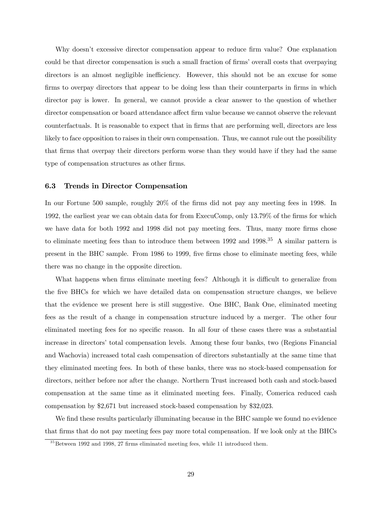Why doesn't excessive director compensation appear to reduce firm value? One explanation could be that director compensation is such a small fraction of firms' overall costs that overpaying directors is an almost negligible inefficiency. However, this should not be an excuse for some firms to overpay directors that appear to be doing less than their counterparts in firms in which director pay is lower. In general, we cannot provide a clear answer to the question of whether director compensation or board attendance affect firm value because we cannot observe the relevant counterfactuals. It is reasonable to expect that in firms that are performing well, directors are less likely to face opposition to raises in their own compensation. Thus, we cannot rule out the possibility that firms that overpay their directors perform worse than they would have if they had the same type of compensation structures as other firms.

## 6.3 Trends in Director Compensation

In our Fortune 500 sample, roughly 20% of the firms did not pay any meeting fees in 1998. In 1992, the earliest year we can obtain data for from ExecuComp, only 13.79% of the firms for which we have data for both 1992 and 1998 did not pay meeting fees. Thus, many more firms chose to eliminate meeting fees than to introduce them between 1992 and 1998.<sup>35</sup> A similar pattern is present in the BHC sample. From 1986 to 1999, five firms chose to eliminate meeting fees, while there was no change in the opposite direction.

What happens when firms eliminate meeting fees? Although it is difficult to generalize from the five BHCs for which we have detailed data on compensation structure changes, we believe that the evidence we present here is still suggestive. One BHC, Bank One, eliminated meeting fees as the result of a change in compensation structure induced by a merger. The other four eliminated meeting fees for no specific reason. In all four of these cases there was a substantial increase in directors' total compensation levels. Among these four banks, two (Regions Financial and Wachovia) increased total cash compensation of directors substantially at the same time that they eliminated meeting fees. In both of these banks, there was no stock-based compensation for directors, neither before nor after the change. Northern Trust increased both cash and stock-based compensation at the same time as it eliminated meeting fees. Finally, Comerica reduced cash compensation by \$2,671 but increased stock-based compensation by \$32,023.

We find these results particularly illuminating because in the BHC sample we found no evidence that firms that do not pay meeting fees pay more total compensation. If we look only at the BHCs

 $35$  Between 1992 and 1998, 27 firms eliminated meeting fees, while 11 introduced them.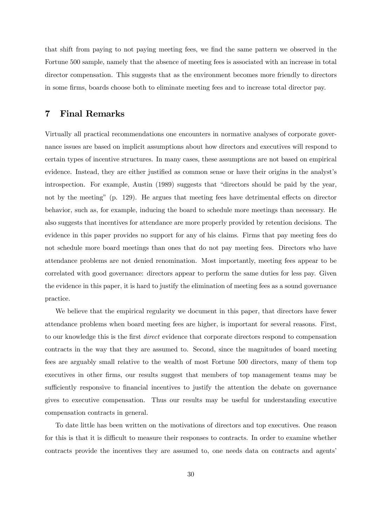that shift from paying to not paying meeting fees, we find the same pattern we observed in the Fortune 500 sample, namely that the absence of meeting fees is associated with an increase in total director compensation. This suggests that as the environment becomes more friendly to directors in some firms, boards choose both to eliminate meeting fees and to increase total director pay.

# 7 Final Remarks

Virtually all practical recommendations one encounters in normative analyses of corporate governance issues are based on implicit assumptions about how directors and executives will respond to certain types of incentive structures. In many cases, these assumptions are not based on empirical evidence. Instead, they are either justified as common sense or have their origins in the analyst's introspection. For example, Austin (1989) suggests that "directors should be paid by the year, not by the meeting" (p. 129). He argues that meeting fees have detrimental effects on director behavior, such as, for example, inducing the board to schedule more meetings than necessary. He also suggests that incentives for attendance are more properly provided by retention decisions. The evidence in this paper provides no support for any of his claims. Firms that pay meeting fees do not schedule more board meetings than ones that do not pay meeting fees. Directors who have attendance problems are not denied renomination. Most importantly, meeting fees appear to be correlated with good governance: directors appear to perform the same duties for less pay. Given the evidence in this paper, it is hard to justify the elimination of meeting fees as a sound governance practice.

We believe that the empirical regularity we document in this paper, that directors have fewer attendance problems when board meeting fees are higher, is important for several reasons. First, to our knowledge this is the first direct evidence that corporate directors respond to compensation contracts in the way that they are assumed to. Second, since the magnitudes of board meeting fees are arguably small relative to the wealth of most Fortune 500 directors, many of them top executives in other firms, our results suggest that members of top management teams may be sufficiently responsive to financial incentives to justify the attention the debate on governance gives to executive compensation. Thus our results may be useful for understanding executive compensation contracts in general.

To date little has been written on the motivations of directors and top executives. One reason for this is that it is difficult to measure their responses to contracts. In order to examine whether contracts provide the incentives they are assumed to, one needs data on contracts and agents'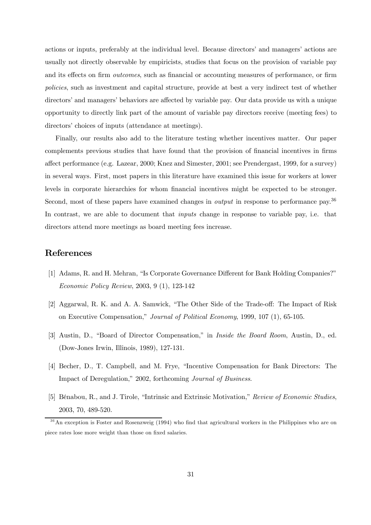actions or inputs, preferably at the individual level. Because directors' and managers' actions are usually not directly observable by empiricists, studies that focus on the provision of variable pay and its effects on firm *outcomes*, such as financial or accounting measures of performance, or firm policies, such as investment and capital structure, provide at best a very indirect test of whether directors' and managers' behaviors are affected by variable pay. Our data provide us with a unique opportunity to directly link part of the amount of variable pay directors receive (meeting fees) to directors' choices of inputs (attendance at meetings).

Finally, our results also add to the literature testing whether incentives matter. Our paper complements previous studies that have found that the provision of financial incentives in firms affect performance (e.g. Lazear, 2000; Knez and Simester, 2001; see Prendergast, 1999, for a survey) in several ways. First, most papers in this literature have examined this issue for workers at lower levels in corporate hierarchies for whom financial incentives might be expected to be stronger. Second, most of these papers have examined changes in *output* in response to performance pay.<sup>36</sup> In contrast, we are able to document that *inputs* change in response to variable pay, i.e. that directors attend more meetings as board meeting fees increase.

# References

- [1] Adams, R. and H. Mehran, "Is Corporate Governance Different for Bank Holding Companies?" Economic Policy Review, 2003, 9 (1), 123-142
- [2] Aggarwal, R. K. and A. A. Samwick, "The Other Side of the Trade-off: The Impact of Risk on Executive Compensation," Journal of Political Economy, 1999, 107 (1), 65-105.
- [3] Austin, D., "Board of Director Compensation," in Inside the Board Room, Austin, D., ed. (Dow-Jones Irwin, Illinois, 1989), 127-131.
- [4] Becher, D., T. Campbell, and M. Frye, "Incentive Compensation for Bank Directors: The Impact of Deregulation," 2002, forthcoming Journal of Business.
- [5] Bénabou, R., and J. Tirole, "Intrinsic and Extrinsic Motivation," Review of Economic Studies, 2003, 70, 489-520.

<sup>&</sup>lt;sup>36</sup>An exception is Foster and Rosenzweig (1994) who find that agricultural workers in the Philippines who are on piece rates lose more weight than those on fixed salaries.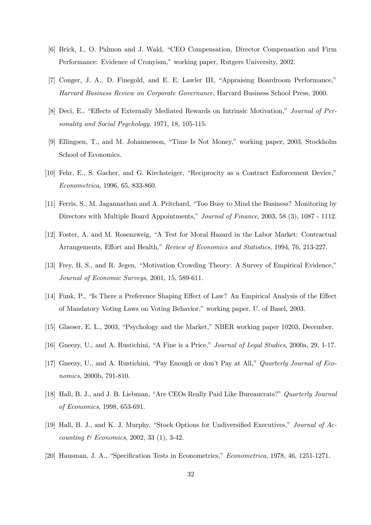- [6] Brick, I., O. Palmon and J. Wald, "CEO Compensation, Director Compensation and Firm Performance: Evidence of Cronyism," working paper, Rutgers University, 2002.
- [7] Conger, J. A., D. Finegold, and E. E. Lawler III, "Appraising Boardroom Performance," Harvard Business Review on Corporate Governance, Harvard Business School Press, 2000.
- [8] Deci, E., "Effects of Externally Mediated Rewards on Intrinsic Motivation," Journal of Personality and Social Psychology, 1971, 18, 105-115.
- [9] Ellingsen, T., and M. Johannesson, "Time Is Not Money," working paper, 2003, Stockholm School of Economics.
- [10] Fehr, E., S. Gacher, and G. Kirchsteiger, "Reciprocity as a Contract Enforcement Device," Econometrica, 1996, 65, 833-860.
- [11] Ferris, S., M. Jagannathan and A. Pritchard, "Too Busy to Mind the Business? Monitoring by Directors with Multiple Board Appointments," Journal of Finance, 2003, 58 (3), 1087 - 1112.
- [12] Foster, A. and M. Rosenzweig, "A Test for Moral Hazard in the Labor Market: Contractual Arrangements, Effort and Health," Review of Economics and Statistics, 1994, 76, 213-227.
- [13] Frey, B. S., and R. Jegen, "Motivation Crowding Theory: A Survey of Empirical Evidence," Journal of Economic Surveys, 2001, 15, 589-611.
- [14] Funk, P., "Is There a Preference Shaping Effect of Law? An Empirical Analysis of the Effect of Mandatory Voting Laws on Voting Behavior," working paper, U. of Basel, 2003.
- [15] Glaeser, E. L., 2003, "Psychology and the Market," NBER working paper 10203, December.
- [16] Gneezy, U., and A. Rustichini, "A Fine is a Price," Journal of Legal Studies, 2000a, 29, 1-17.
- [17] Gneezy, U., and A. Rustichini, "Pay Enough or don't Pay at All," Quarterly Journal of Economics, 2000b, 791-810.
- [18] Hall, B. J., and J. B. Liebman, "Are CEOs Really Paid Like Bureaucrats?" Quarterly Journal of Economics, 1998, 653-691.
- [19] Hall, B. J., and K. J. Murphy, "Stock Options for Undiversified Executives," Journal of Ac*counting*  $\&\ Economics, 2002, 33 (1), 3-42.$
- [20] Hausman, J. A., "Specification Tests in Econometrics," Econometrica, 1978, 46, 1251-1271.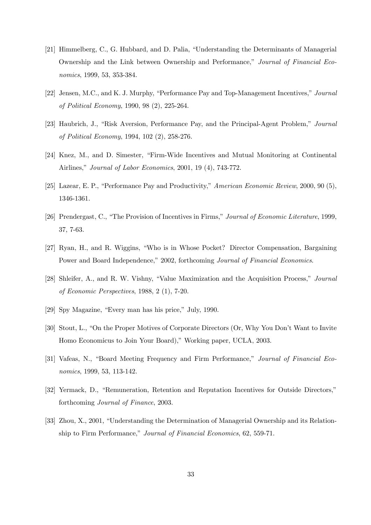- [21] Himmelberg, C., G. Hubbard, and D. Palia, "Understanding the Determinants of Managerial Ownership and the Link between Ownership and Performance," Journal of Financial Economics, 1999, 53, 353-384.
- [22] Jensen, M.C., and K. J. Murphy, "Performance Pay and Top-Management Incentives," Journal of Political Economy, 1990, 98 (2), 225-264.
- [23] Haubrich, J., "Risk Aversion, Performance Pay, and the Principal-Agent Problem," Journal of Political Economy, 1994, 102 (2), 258-276.
- [24] Knez, M., and D. Simester, "Firm-Wide Incentives and Mutual Monitoring at Continental Airlines," Journal of Labor Economics, 2001, 19 (4), 743-772.
- [25] Lazear, E. P., "Performance Pay and Productivity," American Economic Review, 2000, 90 (5), 1346-1361.
- [26] Prendergast, C., "The Provision of Incentives in Firms," Journal of Economic Literature, 1999, 37, 7-63.
- [27] Ryan, H., and R. Wiggins, "Who is in Whose Pocket? Director Compensation, Bargaining Power and Board Independence," 2002, forthcoming *Journal of Financial Economics*.
- [28] Shleifer, A., and R. W. Vishny, "Value Maximization and the Acquisition Process," Journal of Economic Perspectives, 1988, 2 (1), 7-20.
- [29] Spy Magazine, "Every man has his price," July, 1990.
- [30] Stout, L., "On the Proper Motives of Corporate Directors (Or, Why You Don't Want to Invite Homo Economicus to Join Your Board)," Working paper, UCLA, 2003.
- [31] Vafeas, N., "Board Meeting Frequency and Firm Performance," Journal of Financial Economics, 1999, 53, 113-142.
- [32] Yermack, D., "Remuneration, Retention and Reputation Incentives for Outside Directors," forthcoming Journal of Finance, 2003.
- [33] Zhou, X., 2001, "Understanding the Determination of Managerial Ownership and its Relationship to Firm Performance," Journal of Financial Economics, 62, 559-71.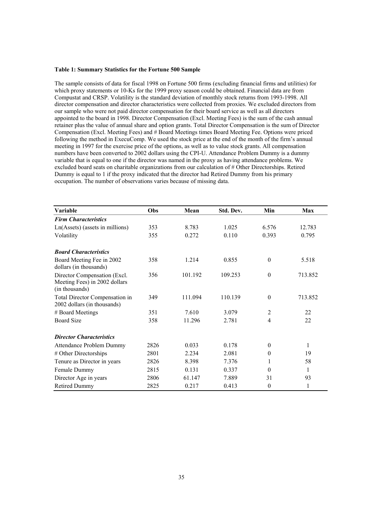#### **Table 1: Summary Statistics for the Fortune 500 Sample**

The sample consists of data for fiscal 1998 on Fortune 500 firms (excluding financial firms and utilities) for which proxy statements or 10-Ks for the 1999 proxy season could be obtained. Financial data are from Compustat and CRSP. Volatility is the standard deviation of monthly stock returns from 1993-1998. All director compensation and director characteristics were collected from proxies. We excluded directors from our sample who were not paid director compensation for their board service as well as all directors appointed to the board in 1998. Director Compensation (Excl. Meeting Fees) is the sum of the cash annual retainer plus the value of annual share and option grants. Total Director Compensation is the sum of Director Compensation (Excl. Meeting Fees) and # Board Meetings times Board Meeting Fee. Options were priced following the method in ExecuComp. We used the stock price at the end of the month of the firm's annual meeting in 1997 for the exercise price of the options, as well as to value stock grants. All compensation numbers have been converted to 2002 dollars using the CPI-U. Attendance Problem Dummy is a dummy variable that is equal to one if the director was named in the proxy as having attendance problems. We excluded board seats on charitable organizations from our calculation of # Other Directorships. Retired Dummy is equal to 1 if the proxy indicated that the director had Retired Dummy from his primary occupation. The number of observations varies because of missing data.

| <b>Variable</b>                                                                 | Obs  | Mean    | Std. Dev. | Min            | <b>Max</b> |
|---------------------------------------------------------------------------------|------|---------|-----------|----------------|------------|
| <b>Firm Characteristics</b>                                                     |      |         |           |                |            |
| Ln(Assets) (assets in millions)                                                 | 353  | 8.783   | 1.025     | 6.576          | 12.783     |
| Volatility                                                                      | 355  | 0.272   | 0.110     | 0.393          | 0.795      |
| <b>Board Characteristics</b>                                                    |      |         |           |                |            |
| Board Meeting Fee in 2002<br>dollars (in thousands)                             | 358  | 1.214   | 0.855     | $\mathbf{0}$   | 5.518      |
| Director Compensation (Excl.<br>Meeting Fees) in 2002 dollars<br>(in thousands) | 356  | 101.192 | 109.253   | $\theta$       | 713.852    |
| Total Director Compensation in<br>2002 dollars (in thousands)                   | 349  | 111.094 | 110.139   | $\theta$       | 713.852    |
| # Board Meetings                                                                | 351  | 7.610   | 3.079     | $\overline{2}$ | 22         |
| <b>Board Size</b>                                                               | 358  | 11.296  | 2.781     | 4              | 22         |
| <b>Director Characteristics</b>                                                 |      |         |           |                |            |
| <b>Attendance Problem Dummy</b>                                                 | 2826 | 0.033   | 0.178     | $\theta$       | 1          |
| # Other Directorships                                                           | 2801 | 2.234   | 2.081     | $\mathbf{0}$   | 19         |
| Tenure as Director in years                                                     | 2826 | 8.398   | 7.376     |                | 58         |
| Female Dummy                                                                    | 2815 | 0.131   | 0.337     | $\theta$       | 1          |
| Director Age in years                                                           | 2806 | 61.147  | 7.889     | 31             | 93         |
| <b>Retired Dummy</b>                                                            | 2825 | 0.217   | 0.413     | $\mathbf{0}$   | 1          |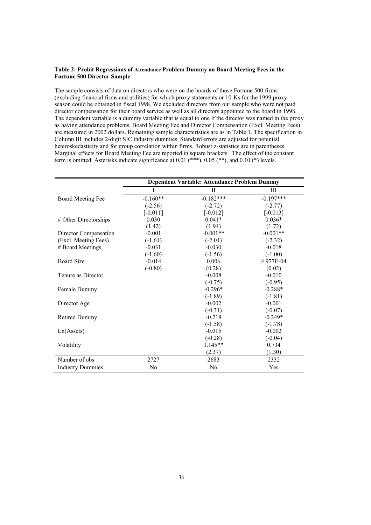#### **Table 2: Probit Regressions of Attendance Problem Dummy on Board Meeting Fees in the Fortune 500 Director Sample**

The sample consists of data on directors who were on the boards of those Fortune 500 firms (excluding financial firms and utilities) for which proxy statements or 10-Ks for the 1999 proxy season could be obtained in fiscal 1998. We excluded directors from our sample who were not paid director compensation for their board service as well as all directors appointed to the board in 1998. The dependent variable is a dummy variable that is equal to one if the director was named in the proxy as having attendance problems. Board Meeting Fee and Director Compensation (Excl. Meeting Fees) are measured in 2002 dollars. Remaining sample characteristics are as in Table 1. The specification in Column III includes 2-digit SIC industry dummies. Standard errors are adjusted for potential heteroskedasticity and for group correlation within firms. Robust z-statistics are in parentheses. Marginal effects for Board Meeting Fee are reported in square brackets. The effect of the constant term is omitted. Asterisks indicate significance at 0.01 (\*\*\*), 0.05 (\*\*), and 0.10 (\*) levels.

|                         | <b>Dependent Variable: Attendance Problem Dummy</b> |                |             |  |  |
|-------------------------|-----------------------------------------------------|----------------|-------------|--|--|
|                         |                                                     | П              | Ш           |  |  |
| Board Meeting Fee       | $-0.160**$                                          | $-0.182***$    | $-0.197***$ |  |  |
|                         | $(-2.56)$                                           | $(-2.72)$      | $(-2.77)$   |  |  |
|                         | $[-0.011]$                                          | $[-0.012]$     | $[-0.013]$  |  |  |
| # Other Directorships   | 0.030                                               | $0.041*$       | $0.036*$    |  |  |
|                         | (1.42)                                              | (1.94)         | (1.72)      |  |  |
| Director Compensation   | $-0.001$                                            | $-0.001**$     | $-0.001**$  |  |  |
| (Excl. Meeting Fees)    | $(-1.61)$                                           | $(-2.01)$      | $(-2.32)$   |  |  |
| # Board Meetings        | $-0.031$                                            | $-0.030$       | $-0.018$    |  |  |
|                         | $(-1.60)$                                           | $(-1.56)$      | $(-1.00)$   |  |  |
| <b>Board Size</b>       | $-0.014$                                            | 0.006          | 4.977E-04   |  |  |
|                         | $(-0.80)$                                           | (0.28)         | (0.02)      |  |  |
| Tenure as Director      |                                                     | $-0.008$       | $-0.010$    |  |  |
|                         |                                                     | $(-0.75)$      | $(-0.95)$   |  |  |
| Female Dummy            |                                                     | $-0.296*$      | $-0.288*$   |  |  |
|                         |                                                     | $(-1.89)$      | $(-1.81)$   |  |  |
| Director Age            |                                                     | $-0.002$       | $-0.001$    |  |  |
|                         |                                                     | $(-0.31)$      | $(-0.07)$   |  |  |
| <b>Retired Dummy</b>    |                                                     | $-0.218$       | $-0.249*$   |  |  |
|                         |                                                     | $(-1.58)$      | $(-1.78)$   |  |  |
| Ln(A <sub>s</sub> )     |                                                     | $-0.015$       | $-0.002$    |  |  |
|                         |                                                     | $(-0.28)$      | $(-0.04)$   |  |  |
| Volatility              |                                                     | $1.145**$      | 0.734       |  |  |
|                         |                                                     | (2.37)         | (1.30)      |  |  |
| Number of obs           | 2727                                                | 2683           | 2332        |  |  |
| <b>Industry Dummies</b> | N <sub>0</sub>                                      | N <sub>0</sub> | Yes         |  |  |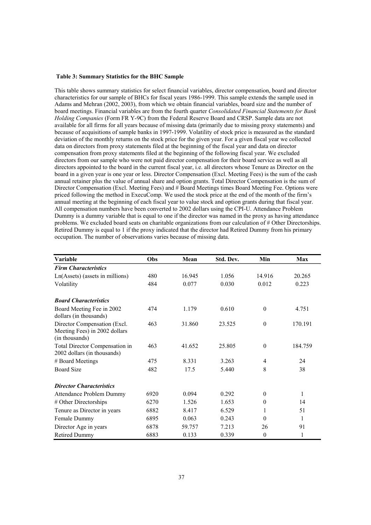#### **Table 3: Summary Statistics for the BHC Sample**

This table shows summary statistics for select financial variables, director compensation, board and director characteristics for our sample of BHCs for fiscal years 1986-1999. This sample extends the sample used in Adams and Mehran (2002, 2003), from which we obtain financial variables, board size and the number of board meetings. Financial variables are from the fourth quarter *Consolidated Financial Statements for Bank Holding Companies* (Form FR Y-9C) from the Federal Reserve Board and CRSP. Sample data are not available for all firms for all years because of missing data (primarily due to missing proxy statements) and because of acquisitions of sample banks in 1997-1999. Volatility of stock price is measured as the standard deviation of the monthly returns on the stock price for the given year. For a given fiscal year we collected data on directors from proxy statements filed at the beginning of the fiscal year and data on director compensation from proxy statements filed at the beginning of the following fiscal year. We excluded directors from our sample who were not paid director compensation for their board service as well as all directors appointed to the board in the current fiscal year, i.e. all directors whose Tenure as Director on the board in a given year is one year or less. Director Compensation (Excl. Meeting Fees) is the sum of the cash annual retainer plus the value of annual share and option grants. Total Director Compensation is the sum of Director Compensation (Excl. Meeting Fees) and # Board Meetings times Board Meeting Fee. Options were priced following the method in ExecuComp. We used the stock price at the end of the month of the firm's annual meeting at the beginning of each fiscal year to value stock and option grants during that fiscal year. All compensation numbers have been converted to 2002 dollars using the CPI-U. Attendance Problem Dummy is a dummy variable that is equal to one if the director was named in the proxy as having attendance problems. We excluded board seats on charitable organizations from our calculation of # Other Directorships. Retired Dummy is equal to 1 if the proxy indicated that the director had Retired Dummy from his primary occupation. The number of observations varies because of missing data.

| Variable                                                                        | Obs  | Mean   | Std. Dev. | Min              | <b>Max</b> |
|---------------------------------------------------------------------------------|------|--------|-----------|------------------|------------|
| <b>Firm Characteristics</b>                                                     |      |        |           |                  |            |
| $Ln(As) (assets in millions)$                                                   | 480  | 16.945 | 1.056     | 14.916           | 20.265     |
| Volatility                                                                      | 484  | 0.077  | 0.030     | 0.012            | 0.223      |
| <b>Board Characteristics</b>                                                    |      |        |           |                  |            |
| Board Meeting Fee in 2002<br>dollars (in thousands)                             | 474  | 1.179  | 0.610     | $\boldsymbol{0}$ | 4.751      |
| Director Compensation (Excl.<br>Meeting Fees) in 2002 dollars<br>(in thousands) | 463  | 31.860 | 23.525    | $\boldsymbol{0}$ | 170.191    |
| Total Director Compensation in<br>2002 dollars (in thousands)                   | 463  | 41.652 | 25.805    | $\theta$         | 184.759    |
| # Board Meetings                                                                | 475  | 8.331  | 3.263     | $\overline{4}$   | 24         |
| <b>Board Size</b>                                                               | 482  | 17.5   | 5.440     | 8                | 38         |
| <b>Director Characteristics</b>                                                 |      |        |           |                  |            |
| Attendance Problem Dummy                                                        | 6920 | 0.094  | 0.292     | $\theta$         | 1          |
| # Other Directorships                                                           | 6270 | 1.526  | 1.653     | $\theta$         | 14         |
| Tenure as Director in years                                                     | 6882 | 8.417  | 6.529     | 1                | 51         |
| Female Dummy                                                                    | 6895 | 0.063  | 0.243     | $\theta$         | 1          |
| Director Age in years                                                           | 6878 | 59.757 | 7.213     | 26               | 91         |
| <b>Retired Dummy</b>                                                            | 6883 | 0.133  | 0.339     | $\theta$         | 1          |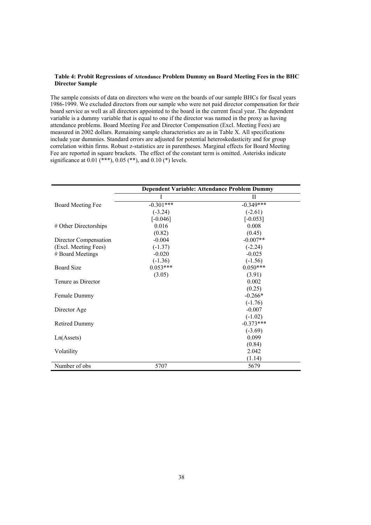#### **Table 4: Probit Regressions of Attendance Problem Dummy on Board Meeting Fees in the BHC Director Sample**

The sample consists of data on directors who were on the boards of our sample BHCs for fiscal years 1986-1999. We excluded directors from our sample who were not paid director compensation for their board service as well as all directors appointed to the board in the current fiscal year. The dependent variable is a dummy variable that is equal to one if the director was named in the proxy as having attendance problems. Board Meeting Fee and Director Compensation (Excl. Meeting Fees) are measured in 2002 dollars. Remaining sample characteristics are as in Table X. All specifications include year dummies. Standard errors are adjusted for potential heteroskedasticity and for group correlation within firms. Robust z-statistics are in parentheses. Marginal effects for Board Meeting Fee are reported in square brackets. The effect of the constant term is omitted. Asterisks indicate significance at  $0.01$  (\*\*\*),  $0.05$  (\*\*), and  $0.10$  (\*) levels.

|                          | Dependent Variable: Attendance Problem Dummy |             |  |  |  |
|--------------------------|----------------------------------------------|-------------|--|--|--|
|                          |                                              | П           |  |  |  |
| <b>Board Meeting Fee</b> | $-0.301***$                                  | $-0.349***$ |  |  |  |
|                          | $(-3.24)$                                    | $(-2.61)$   |  |  |  |
|                          | $[-0.046]$                                   | $[-0.053]$  |  |  |  |
| # Other Directorships    | 0.016                                        | 0.008       |  |  |  |
|                          | (0.82)                                       | (0.45)      |  |  |  |
| Director Compensation    | $-0.004$                                     | $-0.007**$  |  |  |  |
| (Excl. Meeting Fees)     | $(-1.37)$                                    | $(-2.24)$   |  |  |  |
| # Board Meetings         | $-0.020$                                     | $-0.025$    |  |  |  |
|                          | $(-1.36)$                                    | $(-1.56)$   |  |  |  |
| <b>Board Size</b>        | $0.053***$                                   | $0.050***$  |  |  |  |
|                          | (3.05)                                       | (3.91)      |  |  |  |
| Tenure as Director       |                                              | 0.002       |  |  |  |
|                          |                                              | (0.25)      |  |  |  |
| Female Dummy             |                                              | $-0.266*$   |  |  |  |
|                          |                                              | $(-1.76)$   |  |  |  |
| Director Age             |                                              | $-0.007$    |  |  |  |
|                          |                                              | $(-1.02)$   |  |  |  |
| <b>Retired Dummy</b>     |                                              | $-0.373***$ |  |  |  |
|                          |                                              | $(-3.69)$   |  |  |  |
| Ln(A <sub>s</sub> )      |                                              | 0.099       |  |  |  |
|                          |                                              | (0.84)      |  |  |  |
| Volatility               |                                              | 2.042       |  |  |  |
|                          |                                              | (1.14)      |  |  |  |
| Number of obs            | 5707                                         | 5679        |  |  |  |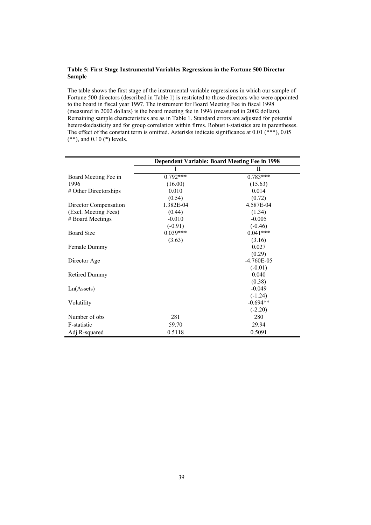#### **Table 5: First Stage Instrumental Variables Regressions in the Fortune 500 Director Sample**

The table shows the first stage of the instrumental variable regressions in which our sample of Fortune 500 directors (described in Table 1) is restricted to those directors who were appointed to the board in fiscal year 1997. The instrument for Board Meeting Fee in fiscal 1998 (measured in 2002 dollars) is the board meeting fee in 1996 (measured in 2002 dollars). Remaining sample characteristics are as in Table 1. Standard errors are adjusted for potential heteroskedasticity and for group correlation within firms. Robust t-statistics are in parentheses. The effect of the constant term is omitted. Asterisks indicate significance at 0.01 (\*\*\*), 0.05 (\*\*), and 0.10 (\*) levels.

|                       | <b>Dependent Variable: Board Meeting Fee in 1998</b> |                |  |  |  |
|-----------------------|------------------------------------------------------|----------------|--|--|--|
|                       |                                                      | П              |  |  |  |
| Board Meeting Fee in  | $0.792***$                                           | $0.783***$     |  |  |  |
| 1996                  | (16.00)                                              | (15.63)        |  |  |  |
| # Other Directorships | 0.010                                                | 0.014          |  |  |  |
|                       | (0.54)                                               | (0.72)         |  |  |  |
| Director Compensation | 1.382E-04                                            | 4.587E-04      |  |  |  |
| (Excl. Meeting Fees)  | (0.44)                                               | (1.34)         |  |  |  |
| # Board Meetings      | $-0.010$                                             | $-0.005$       |  |  |  |
|                       | $(-0.91)$                                            | $(-0.46)$      |  |  |  |
| <b>Board Size</b>     | $0.039***$                                           | $0.041***$     |  |  |  |
|                       | (3.63)                                               | (3.16)         |  |  |  |
| Female Dummy          |                                                      | 0.027          |  |  |  |
|                       |                                                      | (0.29)         |  |  |  |
| Director Age          |                                                      | $-4.760E - 05$ |  |  |  |
|                       |                                                      | $(-0.01)$      |  |  |  |
| <b>Retired Dummy</b>  |                                                      | 0.040          |  |  |  |
|                       |                                                      | (0.38)         |  |  |  |
| Ln(Assets)            |                                                      | $-0.049$       |  |  |  |
|                       |                                                      | $(-1.24)$      |  |  |  |
| Volatility            |                                                      | $-0.694**$     |  |  |  |
|                       |                                                      | $(-2.20)$      |  |  |  |
| Number of obs         | 281                                                  | 280            |  |  |  |
| F-statistic           | 59.70                                                | 29.94          |  |  |  |
| Adj R-squared         | 0.5118                                               | 0.5091         |  |  |  |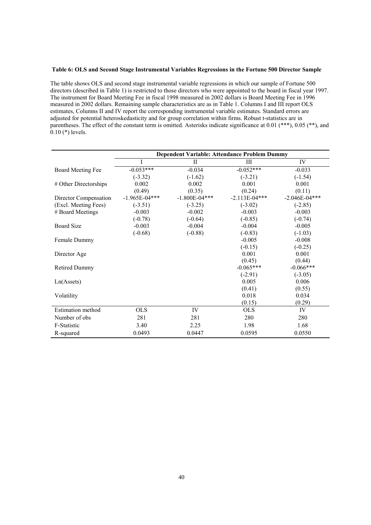#### **Table 6: OLS and Second Stage Instrumental Variables Regressions in the Fortune 500 Director Sample**

The table shows OLS and second stage instrumental variable regressions in which our sample of Fortune 500 directors (described in Table 1) is restricted to those directors who were appointed to the board in fiscal year 1997. The instrument for Board Meeting Fee in fiscal 1998 measured in 2002 dollars is Board Meeting Fee in 1996 measured in 2002 dollars. Remaining sample characteristics are as in Table 1. Columns I and III report OLS estimates, Columns II and IV report the corresponding instrumental variable estimates. Standard errors are adjusted for potential heteroskedasticity and for group correlation within firms. Robust t-statistics are in parentheses. The effect of the constant term is omitted. Asterisks indicate significance at 0.01 (\*\*\*), 0.05 (\*\*), and 0.10 (\*) levels.

|                          | <b>Dependent Variable: Attendance Problem Dummy</b> |                   |                 |                   |
|--------------------------|-----------------------------------------------------|-------------------|-----------------|-------------------|
|                          | I                                                   | $\rm II$          | Ш               | IV                |
| <b>Board Meeting Fee</b> | $-0.053***$                                         | $-0.034$          | $-0.052***$     | $-0.033$          |
|                          | $(-3.32)$                                           | $(-1.62)$         | $(-3.21)$       | $(-1.54)$         |
| # Other Directorships    | 0.002                                               | 0.002             | 0.001           | 0.001             |
|                          | (0.49)                                              | (0.35)            | (0.24)          | (0.11)            |
| Director Compensation    | $-1.965E-04***$                                     | $-1.800E - 04***$ | $-2.113E-04***$ | $-2.046E - 04***$ |
| (Excl. Meeting Fees)     | $(-3.51)$                                           | $(-3.25)$         | $(-3.02)$       | $(-2.85)$         |
| # Board Meetings         | $-0.003$                                            | $-0.002$          | $-0.003$        | $-0.003$          |
|                          | $(-0.78)$                                           | $(-0.64)$         | $(-0.85)$       | $(-0.74)$         |
| <b>Board Size</b>        | $-0.003$                                            | $-0.004$          | $-0.004$        | $-0.005$          |
|                          | $(-0.68)$                                           | $(-0.88)$         | $(-0.83)$       | $(-1.03)$         |
| Female Dummy             |                                                     |                   | $-0.005$        | $-0.008$          |
|                          |                                                     |                   | $(-0.15)$       | $(-0.25)$         |
| Director Age             |                                                     |                   | 0.001           | 0.001             |
|                          |                                                     |                   | (0.45)          | (0.44)            |
| <b>Retired Dummy</b>     |                                                     |                   | $-0.065***$     | $-0.066***$       |
|                          |                                                     |                   | $(-2.91)$       | $(-3.05)$         |
| Ln(A <sub>s</sub> )      |                                                     |                   | 0.005           | 0.006             |
|                          |                                                     |                   | (0.41)          | (0.55)            |
| Volatility               |                                                     |                   | 0.018           | 0.034             |
|                          |                                                     |                   | (0.15)          | (0.29)            |
| <b>Estimation</b> method | <b>OLS</b>                                          | IV                | <b>OLS</b>      | IV                |
| Number of obs            | 281                                                 | 281               | 280             | 280               |
| F-Statistic              | 3.40                                                | 2.25              | 1.98            | 1.68              |
| R-squared                | 0.0493                                              | 0.0447            | 0.0595          | 0.0550            |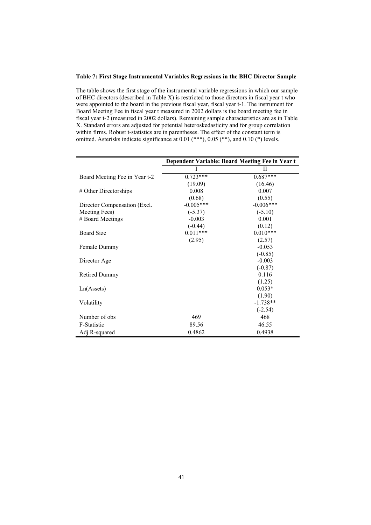#### **Table 7: First Stage Instrumental Variables Regressions in the BHC Director Sample**

The table shows the first stage of the instrumental variable regressions in which our sample of BHC directors (described in Table X) is restricted to those directors in fiscal year t who were appointed to the board in the previous fiscal year, fiscal year t-1. The instrument for Board Meeting Fee in fiscal year t measured in 2002 dollars is the board meeting fee in fiscal year t-2 (measured in 2002 dollars). Remaining sample characteristics are as in Table X. Standard errors are adjusted for potential heteroskedasticity and for group correlation within firms. Robust t-statistics are in parentheses. The effect of the constant term is omitted. Asterisks indicate significance at 0.01 (\*\*\*), 0.05 (\*\*), and 0.10 (\*) levels.

|                               | Dependent Variable: Board Meeting Fee in Year t |             |  |  |
|-------------------------------|-------------------------------------------------|-------------|--|--|
|                               |                                                 | н           |  |  |
| Board Meeting Fee in Year t-2 | $0.723***$                                      | $0.687***$  |  |  |
|                               | (19.09)                                         | (16.46)     |  |  |
| # Other Directorships         | 0.008                                           | 0.007       |  |  |
|                               | (0.68)                                          | (0.55)      |  |  |
| Director Compensation (Excl.) | $-0.005***$                                     | $-0.006***$ |  |  |
| Meeting Fees)                 | $(-5.37)$                                       | $(-5.10)$   |  |  |
| # Board Meetings              | $-0.003$                                        | 0.001       |  |  |
|                               | $(-0.44)$                                       | (0.12)      |  |  |
| <b>Board Size</b>             | $0.011***$                                      | $0.010***$  |  |  |
|                               | (2.95)                                          | (2.57)      |  |  |
| Female Dummy                  |                                                 | $-0.053$    |  |  |
|                               |                                                 | $(-0.85)$   |  |  |
| Director Age                  |                                                 | $-0.003$    |  |  |
|                               |                                                 | $(-0.87)$   |  |  |
| <b>Retired Dummy</b>          |                                                 | 0.116       |  |  |
|                               |                                                 | (1.25)      |  |  |
| Ln(A <sub>s</sub> )           |                                                 | $0.053*$    |  |  |
|                               |                                                 | (1.90)      |  |  |
| Volatility                    |                                                 | $-1.738**$  |  |  |
|                               |                                                 | $(-2.54)$   |  |  |
| Number of obs                 | 469                                             | 468         |  |  |
| F-Statistic                   | 89.56                                           | 46.55       |  |  |
| Adj R-squared                 | 0.4862                                          | 0.4938      |  |  |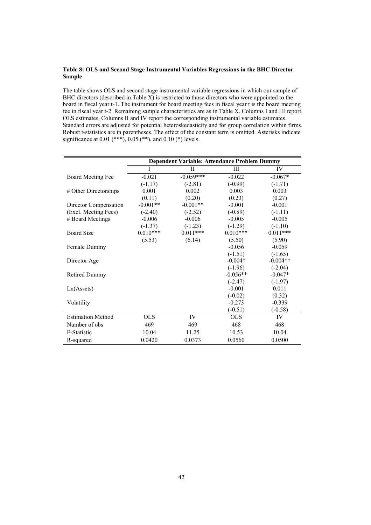#### **Table 8: OLS and Second Stage Instrumental Variables Regressions in the BHC Director Sample**

The table shows OLS and second stage instrumental variable regressions in which our sample of BHC directors (described in Table X) is restricted to those directors who were appointed to the board in fiscal year t-1. The instrument for board meeting fees in fiscal year t is the board meeting fee in fiscal year t-2. Remaining sample characteristics are as in Table X. Columns I and III report OLS estimates, Columns II and IV report the corresponding instrumental variable estimates. Standard errors are adjusted for potential heteroskedasticity and for group correlation within firms. Robust t-statistics are in parentheses. The effect of the constant term is omitted. Asterisks indicate significance at  $0.01$  (\*\*\*),  $0.05$  (\*\*), and  $0.10$  (\*) levels.

|                          | Dependent Variable: Attendance Problem Dummy |             |            |            |
|--------------------------|----------------------------------------------|-------------|------------|------------|
|                          | Ī                                            | $\rm II$    | Ш          | IV         |
| Board Meeting Fee        | $-0.021$                                     | $-0.059***$ | $-0.022$   | $-0.067*$  |
|                          | $(-1.17)$                                    | $(-2.81)$   | $(-0.99)$  | $(-1.71)$  |
| # Other Directorships    | 0.001                                        | 0.002       | 0.003      | 0.003      |
|                          | (0.11)                                       | (0.20)      | (0.23)     | (0.27)     |
| Director Compensation    | $-0.001**$                                   | $-0.001**$  | $-0.001$   | $-0.001$   |
| (Excl. Meeting Fees)     | $(-2.40)$                                    | $(-2.52)$   | $(-0.89)$  | $(-1.11)$  |
| # Board Meetings         | $-0.006$                                     | $-0.006$    | $-0.005$   | $-0.005$   |
|                          | $(-1.37)$                                    | $(-1.23)$   | $(-1.29)$  | $(-1.10)$  |
| <b>Board Size</b>        | $0.010***$                                   | $0.011***$  | $0.010***$ | $0.011***$ |
|                          | (5.53)                                       | (6.14)      | (5.50)     | (5.90)     |
| Female Dummy             |                                              |             | $-0.056$   | $-0.059$   |
|                          |                                              |             | $(-1.51)$  | $(-1.65)$  |
| Director Age             |                                              |             | $-0.004*$  | $-0.004**$ |
|                          |                                              |             | $(-1.96)$  | $(-2.04)$  |
| <b>Retired Dummy</b>     |                                              |             | $-0.056**$ | $-0.047*$  |
|                          |                                              |             | $(-2.47)$  | $(-1.97)$  |
| Ln(A <sub>s</sub> )      |                                              |             | $-0.001$   | 0.011      |
|                          |                                              |             | $(-0.02)$  | (0.32)     |
| Volatility               |                                              |             | $-0.273$   | $-0.339$   |
|                          |                                              |             | $(-0.51)$  | $(-0.58)$  |
| <b>Estimation Method</b> | <b>OLS</b>                                   | IV          | <b>OLS</b> | IV         |
| Number of obs            | 469                                          | 469         | 468        | 468        |
| F-Statistic              | 10.04                                        | 11.25       | 10.53      | 10.04      |
| R-squared                | 0.0420                                       | 0.0373      | 0.0560     | 0.0500     |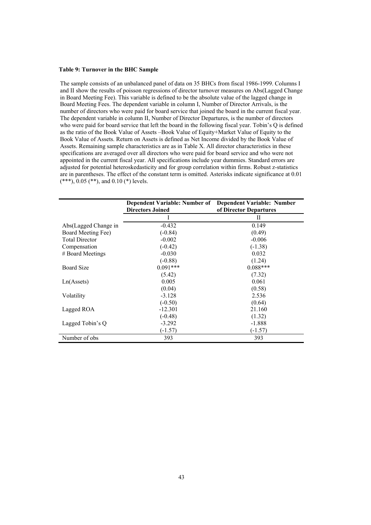#### **Table 9: Turnover in the BHC Sample**

The sample consists of an unbalanced panel of data on 35 BHCs from fiscal 1986-1999. Columns I and II show the results of poisson regressions of director turnover measures on Abs(Lagged Change in Board Meeting Fee). This variable is defined to be the absolute value of the lagged change in Board Meeting Fees. The dependent variable in column I, Number of Director Arrivals, is the number of directors who were paid for board service that joined the board in the current fiscal year. The dependent variable in column II, Number of Director Departures, is the number of directors who were paid for board service that left the board in the following fiscal year. Tobin's Q is defined as the ratio of the Book Value of Assets –Book Value of Equity+Market Value of Equity to the Book Value of Assets. Return on Assets is defined as Net Income divided by the Book Value of Assets. Remaining sample characteristics are as in Table X. All director characteristics in these specifications are averaged over all directors who were paid for board service and who were not appointed in the current fiscal year. All specifications include year dummies. Standard errors are adjusted for potential heteroskedasticity and for group correlation within firms. Robust z-statistics are in parentheses. The effect of the constant term is omitted. Asterisks indicate significance at 0.01  $(***), 0.05 (**),$  and  $0.10 (*)$  levels.

| Dependent Variable: Number of<br><b>Directors Joined</b> |            | <b>Dependent Variable: Number</b><br>of Director Departures |
|----------------------------------------------------------|------------|-------------------------------------------------------------|
|                                                          | I          | Н                                                           |
| Abs(Lagged Change in                                     | $-0.432$   | 0.149                                                       |
| Board Meeting Fee)                                       | $(-0.84)$  | (0.49)                                                      |
| <b>Total Director</b>                                    | $-0.002$   | $-0.006$                                                    |
| Compensation                                             | $(-0.42)$  | $(-1.38)$                                                   |
| # Board Meetings                                         | $-0.030$   | 0.032                                                       |
|                                                          | $(-0.88)$  | (1.24)                                                      |
| <b>Board Size</b>                                        | $0.091***$ | $0.088***$                                                  |
|                                                          | (5.42)     | (7.32)                                                      |
| Ln(A <sub>s</sub> )                                      | 0.005      | 0.061                                                       |
|                                                          | (0.04)     | (0.58)                                                      |
| Volatility                                               | $-3.128$   | 2.536                                                       |
|                                                          | $(-0.50)$  | (0.64)                                                      |
| Lagged ROA                                               | $-12.301$  | 21.160                                                      |
|                                                          | $(-0.48)$  | (1.32)                                                      |
| Lagged Tobin's Q                                         | $-3.292$   | $-1.888$                                                    |
|                                                          | $(-1.57)$  | $(-1.57)$                                                   |
| Number of obs                                            | 393        | 393                                                         |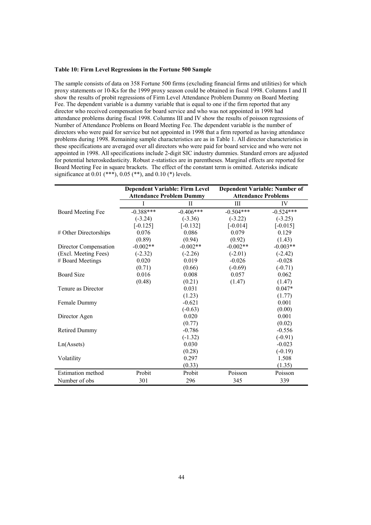#### **Table 10: Firm Level Regressions in the Fortune 500 Sample**

The sample consists of data on 358 Fortune 500 firms (excluding financial firms and utilities) for which proxy statements or 10-Ks for the 1999 proxy season could be obtained in fiscal 1998. Columns I and II show the results of probit regressions of Firm Level Attendance Problem Dummy on Board Meeting Fee. The dependent variable is a dummy variable that is equal to one if the firm reported that any director who received compensation for board service and who was not appointed in 1998 had attendance problems during fiscal 1998. Columns III and IV show the results of poisson regressions of Number of Attendance Problems on Board Meeting Fee. The dependent variable is the number of directors who were paid for service but not appointed in 1998 that a firm reported as having attendance problems during 1998. Remaining sample characteristics are as in Table 1. All director characteristics in these specifications are averaged over all directors who were paid for board service and who were not appointed in 1998. All specifications include 2-digit SIC industry dummies. Standard errors are adjusted for potential heteroskedasticity. Robust z-statistics are in parentheses. Marginal effects are reported for Board Meeting Fee in square brackets. The effect of the constant term is omitted. Asterisks indicate significance at  $0.01$  (\*\*\*),  $0.05$  (\*\*), and  $0.10$  (\*) levels.

|                          | <b>Dependent Variable: Firm Level</b><br><b>Attendance Problem Dummy</b> |              |             | <b>Dependent Variable: Number of</b><br><b>Attendance Problems</b> |
|--------------------------|--------------------------------------------------------------------------|--------------|-------------|--------------------------------------------------------------------|
|                          |                                                                          | $\mathbf{H}$ | III         | IV                                                                 |
| Board Meeting Fee        | $-0.388***$                                                              | $-0.406***$  | $-0.504***$ | $-0.524***$                                                        |
|                          | $(-3.24)$                                                                | $(-3.36)$    | $(-3.22)$   | $(-3.25)$                                                          |
|                          | $[-0.125]$                                                               | $[-0.132]$   | $[-0.014]$  | $[-0.015]$                                                         |
| # Other Directorships    | 0.076                                                                    | 0.086        | 0.079       | 0.129                                                              |
|                          | (0.89)                                                                   | (0.94)       | (0.92)      | (1.43)                                                             |
| Director Compensation    | $-0.002**$                                                               | $-0.002**$   | $-0.002**$  | $-0.003**$                                                         |
| (Excl. Meeting Fees)     | $(-2.32)$                                                                | $(-2.26)$    | $(-2.01)$   | $(-2.42)$                                                          |
| # Board Meetings         | 0.020                                                                    | 0.019        | $-0.026$    | $-0.028$                                                           |
|                          | (0.71)                                                                   | (0.66)       | $(-0.69)$   | $(-0.71)$                                                          |
| <b>Board Size</b>        | 0.016                                                                    | 0.008        | 0.057       | 0.062                                                              |
|                          | (0.48)                                                                   | (0.21)       | (1.47)      | (1.47)                                                             |
| Tenure as Director       |                                                                          | 0.031        |             | $0.047*$                                                           |
|                          |                                                                          | (1.23)       |             | (1.77)                                                             |
| Female Dummy             |                                                                          | $-0.621$     |             | 0.001                                                              |
|                          |                                                                          | $(-0.63)$    |             | (0.00)                                                             |
| Director Agen            |                                                                          | 0.020        |             | 0.001                                                              |
|                          |                                                                          | (0.77)       |             | (0.02)                                                             |
| <b>Retired Dummy</b>     |                                                                          | $-0.786$     |             | $-0.556$                                                           |
|                          |                                                                          | $(-1.32)$    |             | $(-0.91)$                                                          |
| Ln(A <sub>s</sub> )      |                                                                          | 0.030        |             | $-0.023$                                                           |
|                          |                                                                          | (0.28)       |             | $(-0.19)$                                                          |
| Volatility               |                                                                          | 0.297        |             | 1.508                                                              |
|                          |                                                                          | (0.33)       |             | (1.35)                                                             |
| <b>Estimation method</b> | Probit                                                                   | Probit       | Poisson     | Poisson                                                            |
| Number of obs            | 301                                                                      | 296          | 345         | 339                                                                |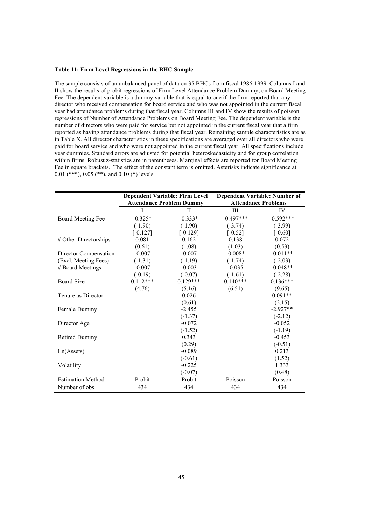#### **Table 11: Firm Level Regressions in the BHC Sample**

The sample consists of an unbalanced panel of data on 35 BHCs from fiscal 1986-1999. Columns I and II show the results of probit regressions of Firm Level Attendance Problem Dummy, on Board Meeting Fee. The dependent variable is a dummy variable that is equal to one if the firm reported that any director who received compensation for board service and who was not appointed in the current fiscal year had attendance problems during that fiscal year. Columns III and IV show the results of poisson regressions of Number of Attendance Problems on Board Meeting Fee. The dependent variable is the number of directors who were paid for service but not appointed in the current fiscal year that a firm reported as having attendance problems during that fiscal year. Remaining sample characteristics are as in Table X. All director characteristics in these specifications are averaged over all directors who were paid for board service and who were not appointed in the current fiscal year. All specifications include year dummies. Standard errors are adjusted for potential heteroskedasticity and for group correlation within firms. Robust z-statistics are in parentheses. Marginal effects are reported for Board Meeting Fee in square brackets. The effect of the constant term is omitted. Asterisks indicate significance at 0.01 (\*\*\*), 0.05 (\*\*), and 0.10 (\*) levels.

|                          | <b>Dependent Variable: Firm Level</b> |              |             | <b>Dependent Variable: Number of</b> |  |  |
|--------------------------|---------------------------------------|--------------|-------------|--------------------------------------|--|--|
|                          | <b>Attendance Problem Dummy</b>       |              |             | <b>Attendance Problems</b>           |  |  |
|                          | I                                     | $\mathbf{I}$ | III         | IV                                   |  |  |
| <b>Board Meeting Fee</b> | $-0.325*$                             | $-0.333*$    | $-0.497***$ | $-0.592***$                          |  |  |
|                          | $(-1.90)$                             | $(-1.90)$    | $(-3.74)$   | $(-3.99)$                            |  |  |
|                          | $[-0.127]$                            | $[-0.129]$   | $[-0.52]$   | $[-0.60]$                            |  |  |
| # Other Directorships    | 0.081                                 | 0.162        | 0.138       | 0.072                                |  |  |
|                          | (0.61)                                | (1.08)       | (1.03)      | (0.53)                               |  |  |
| Director Compensation    | $-0.007$                              | $-0.007$     | $-0.008*$   | $-0.011**$                           |  |  |
| (Excl. Meeting Fees)     | $(-1.31)$                             | $(-1.19)$    | $(-1.74)$   | $(-2.03)$                            |  |  |
| # Board Meetings         | $-0.007$                              | $-0.003$     | $-0.035$    | $-0.048**$                           |  |  |
|                          | $(-0.19)$                             | $(-0.07)$    | $(-1.61)$   | $(-2.28)$                            |  |  |
| <b>Board Size</b>        | $0.112***$                            | $0.129***$   | $0.140***$  | $0.136***$                           |  |  |
|                          | (4.76)                                | (5.16)       | (6.51)      | (9.65)                               |  |  |
| Tenure as Director       |                                       | 0.026        |             | $0.091**$                            |  |  |
|                          |                                       | (0.61)       |             | (2.15)                               |  |  |
| Female Dummy             |                                       | $-2.455$     |             | $-2.927**$                           |  |  |
|                          |                                       | $(-1.37)$    |             | $(-2.12)$                            |  |  |
| Director Age             |                                       | $-0.072$     |             | $-0.052$                             |  |  |
|                          |                                       | $(-1.52)$    |             | $(-1.19)$                            |  |  |
| <b>Retired Dummy</b>     |                                       | 0.343        |             | $-0.453$                             |  |  |
|                          |                                       | (0.29)       |             | $(-0.51)$                            |  |  |
| Ln(A <sub>s</sub> )      |                                       | $-0.089$     |             | 0.213                                |  |  |
|                          |                                       | $(-0.61)$    |             | (1.52)                               |  |  |
| Volatility               |                                       | $-0.225$     |             | 1.333                                |  |  |
|                          |                                       | $(-0.07)$    |             | (0.48)                               |  |  |
| <b>Estimation Method</b> | Probit                                | Probit       | Poisson     | Poisson                              |  |  |
| Number of obs            | 434                                   | 434          | 434         | 434                                  |  |  |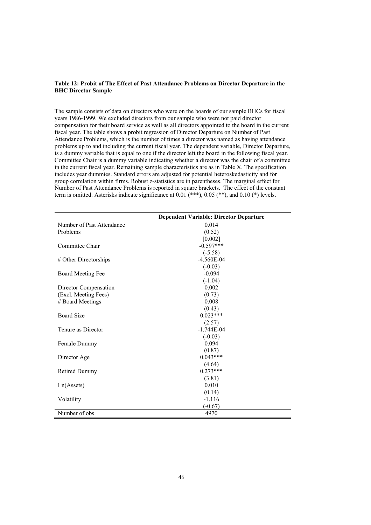#### **Table 12: Probit of The Effect of Past Attendance Problems on Director Departure in the BHC Director Sample**

The sample consists of data on directors who were on the boards of our sample BHCs for fiscal years 1986-1999. We excluded directors from our sample who were not paid director compensation for their board service as well as all directors appointed to the board in the current fiscal year. The table shows a probit regression of Director Departure on Number of Past Attendance Problems, which is the number of times a director was named as having attendance problems up to and including the current fiscal year. The dependent variable, Director Departure, is a dummy variable that is equal to one if the director left the board in the following fiscal year. Committee Chair is a dummy variable indicating whether a director was the chair of a committee in the current fiscal year. Remaining sample characteristics are as in Table X. The specification includes year dummies. Standard errors are adjusted for potential heteroskedasticity and for group correlation within firms. Robust z-statistics are in parentheses. The marginal effect for Number of Past Attendance Problems is reported in square brackets. The effect of the constant term is omitted. Asterisks indicate significance at  $0.01$  (\*\*\*),  $0.05$  (\*\*), and  $0.10$  (\*) levels.

|                           | <b>Dependent Variable: Director Departure</b> |
|---------------------------|-----------------------------------------------|
| Number of Past Attendance | 0.014                                         |
| Problems                  | (0.52)                                        |
|                           | [0.002]                                       |
| Committee Chair           | $-0.597***$                                   |
|                           | $(-5.58)$                                     |
| # Other Directorships     | $-4.560E-04$                                  |
|                           | $(-0.03)$                                     |
| <b>Board Meeting Fee</b>  | $-0.094$                                      |
|                           | $(-1.04)$                                     |
| Director Compensation     | 0.002                                         |
| (Excl. Meeting Fees)      | (0.73)                                        |
| # Board Meetings          | 0.008                                         |
|                           | (0.43)                                        |
| <b>Board Size</b>         | $0.023***$                                    |
|                           | (2.57)                                        |
| Tenure as Director        | $-1.744E-04$                                  |
|                           | $(-0.03)$                                     |
| Female Dummy              | 0.094                                         |
|                           | (0.87)                                        |
| Director Age              | $0.043***$                                    |
|                           | (4.64)                                        |
| <b>Retired Dummy</b>      | $0.273***$                                    |
|                           | (3.81)                                        |
| Ln(A <sub>s</sub> )       | 0.010                                         |
|                           | (0.14)                                        |
| Volatility                | $-1.116$                                      |
|                           | $(-0.67)$                                     |
| Number of obs             | 4970                                          |